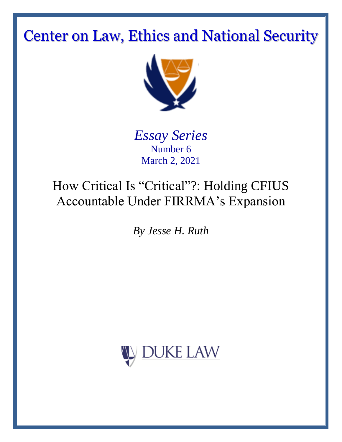# Center on Law, Ethics and National Security



*Essay Series* Number 6 March 2, 2021

## How Critical Is "Critical"?: Holding CFIUS Accountable Under FIRRMA's Expansion

*By Jesse H. Ruth*

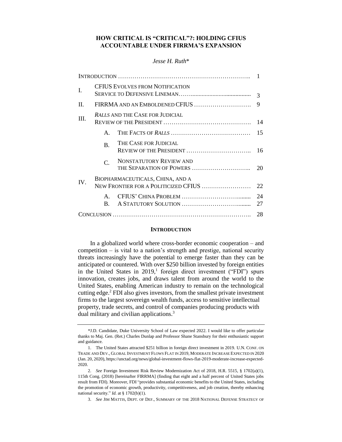## **HOW CRITICAL IS "CRITICAL"?: HOLDING CFIUS ACCOUNTABLE UNDER FIRRMA'S EXPANSION**

## *Jesse H. Ruth*\*

| I.  | <b>CFIUS EVOLVES FROM NOTIFICATION</b>                                   |                                |          |
|-----|--------------------------------------------------------------------------|--------------------------------|----------|
| II. | FIRRMA AND AN EMBOLDENED CFIUS                                           |                                | 9        |
| Ш.  | <b>RALLS AND THE CASE FOR JUDICIAL</b>                                   |                                | 14       |
|     | $\mathsf{A}$                                                             |                                | 15       |
|     | $\mathbf{B}$ .                                                           | THE CASE FOR JUDICIAL          | 16       |
|     | $\mathcal{C}$ .                                                          | <b>NONSTATUTORY REVIEW AND</b> | 20       |
| IV. | BIOPHARMACEUTICALS, CHINA, AND A<br>NEW FRONTIER FOR A POLITICIZED CFIUS |                                | 22       |
|     | $\mathsf{A}$<br>B.                                                       |                                | 24<br>27 |
|     |                                                                          |                                | 28       |

#### **INTRODUCTION**

In a globalized world where cross-border economic cooperation – and competition – is vital to a nation's strength and prestige, national security threats increasingly have the potential to emerge faster than they can be anticipated or countered. With over \$250 billion invested by foreign entities in the United States in 2019,<sup>1</sup> foreign direct investment ("FDI") spurs innovation, creates jobs, and draws talent from around the world to the United States, enabling American industry to remain on the technological cutting edge.<sup>2</sup> FDI also gives investors, from the smallest private investment firms to the largest sovereign wealth funds, access to sensitive intellectual property, trade secrets, and control of companies producing products with dual military and civilian applications.<sup>3</sup>

<sup>\*</sup>J.D. Candidate, Duke University School of Law expected 2022. I would like to offer particular thanks to Maj. Gen. (Ret.) Charles Dunlap and Professor Shane Stansbury for their enthusiastic support and guidance.

<sup>1.</sup> The United States attracted \$251 billion in foreign direct investment in 2019. U.N. CONF. ON TRADE AND DEV., GLOBAL INVESTMENT FLOWS FLAT IN 2019, MODERATE INCREASE EXPECTED IN 2020 (Jan. 20, 2020), https://unctad.org/news/global-investment-flows-flat-2019-moderate-increase-expected-2020.

<sup>2.</sup> *See* Foreign Investment Risk Review Modernization Act of 2018, H.R. 5515, § 1702(a)(1), 115th Cong. (2018) [hereinafter FIRRMA] (finding that eight and a half percent of United States jobs result from FDI). Moreover, FDI "provides substantial economic benefits to the United States, including the promotion of economic growth, productivity, competitiveness, and job creation, thereby enhancing national security." *Id.* at § 1702(b)(1).

<sup>3.</sup> *See* JIM MATTIS, DEPT. OF DEF., SUMMARY OF THE 2018 NATIONAL DEFENSE STRATEGY OF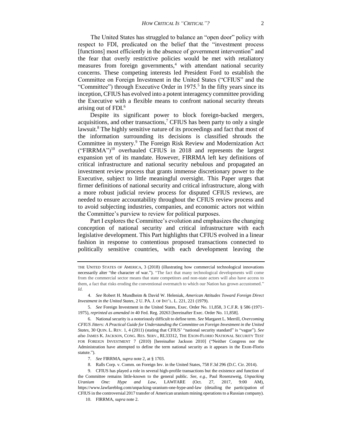The United States has struggled to balance an "open door" policy with respect to FDI, predicated on the belief that the "investment process [functions] most efficiently in the absence of government intervention" and the fear that overly restrictive policies would be met with retaliatory measures from foreign governments, $4$  with attendant national security concerns. These competing interests led President Ford to establish the Committee on Foreign Investment in the United States ("CFIUS" and the "Committee") through Executive Order in 1975.<sup>5</sup> In the fifty years since its inception, CFIUS has evolved into a potent interagency committee providing the Executive with a flexible means to confront national security threats arising out of FDI.<sup>6</sup>

Despite its significant power to block foreign-backed mergers, acquisitions, and other transactions, $\overline{C}$  CFIUS has been party to only a single lawsuit.<sup>8</sup> The highly sensitive nature of its proceedings and fact that most of the information surrounding its decisions is classified shrouds the Committee in mystery.<sup>9</sup> The Foreign Risk Review and Modernization Act ("FIRRMA")<sup>10</sup> overhauled CFIUS in 2018 and represents the largest expansion yet of its mandate. However, FIRRMA left key definitions of critical infrastructure and national security nebulous and propagated an investment review process that grants immense discretionary power to the Executive, subject to little meaningful oversight. This Paper urges that firmer definitions of national security and critical infrastructure, along with a more robust judicial review process for disputed CFIUS reviews, are needed to ensure accountability throughout the CFIUS review process and to avoid subjecting industries, companies, and economic actors not within the Committee's purview to review for political purposes.

Part I explores the Committee's evolution and emphasizes the changing conception of national security and critical infrastructure with each legislative development. This Part highlights that CFIUS evolved in a linear fashion in response to contentious proposed transactions connected to politically sensitive countries, with each development leaving the

5. *See* Foreign Investment in the United States, Exec. Order No. 11,858, 3 C.F.R. § 586 (1971- 1975), *reprinted as amended in* 40 Fed. Reg. 20263 [hereinafter Exec. Order No. 11,858].

- 7. *See* FIRRMA, *supra* note 2, at § 1703.
- 8. Ralls Corp. v. Comm. on Foreign Inv. in the United States, 758 F.3d 296 (D.C. Cir. 2014).

THE UNITED STATES OF AMERICA, 3 (2018) (illustrating how commercial technological innovations necessarily alter "the character of war."). "The fact that many technological developments will come from the commercial sector means that state competitors and non-state actors will also have access to them, a fact that risks eroding the conventional overmatch to which our Nation has grown accustomed." *Id.*

<sup>4.</sup> *See* Robert H. Mundheim & David W. Heleniak, *American Attitudes Toward Foreign Direct Investment in the United States*, 2 U. PA. J. OF INT'L. L. 221, 221 (1979).

<sup>6.</sup> National security is a notoriously difficult to define term. *See* Margaret L. Merrill*, Overcoming CFIUS Jitters: A Practical Guide for Understanding the Committee on Foreign Investment in the United States,* 30 QUIN. L. REV. 1, 4 (2011) (stating that CFIUS' "national security standard" is "vague"). *See also* JAMES K. JACKSON, CONG. RES. SERV., RL33312, THE EXON-FLORIO NATIONAL SECURITY TEST FOR FOREIGN INVESTMENT 7 (2010) [hereinafter Jackson 2010] ("Neither Congress nor the Administration have attempted to define the term national security as it appears in the Exon-Florio statute.").

<sup>9.</sup> CFIUS has played a role in several high-profile transactions but the existence and function of the Committee remains little-known to the general public. *See, e.g.,* Paul Rosenzweig, *Unpacking Uranium One: Hype and Law*, LAWFARE (Oct. 27, 2017, 9:00 AM), https://www.lawfareblog.com/unpacking-uranium-one-hype-and-law (detailing the participation of CFIUS in the controversial 2017 transfer of American uranium mining operations to a Russian company).

<sup>10.</sup> FIRRMA, *supra* note 2.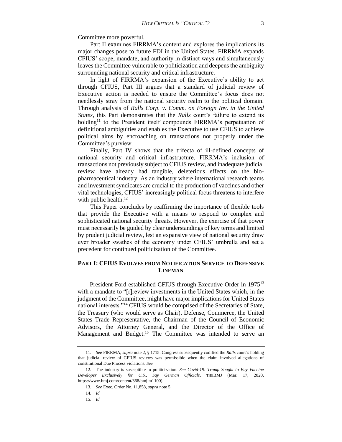Committee more powerful.

Part II examines FIRRMA's content and explores the implications its major changes pose to future FDI in the United States. FIRRMA expands CFIUS' scope, mandate, and authority in distinct ways and simultaneously leaves the Committee vulnerable to politicization and deepens the ambiguity surrounding national security and critical infrastructure.

In light of FIRRMA's expansion of the Executive's ability to act through CFIUS, Part III argues that a standard of judicial review of Executive action is needed to ensure the Committee's focus does not needlessly stray from the national security realm to the political domain. Through analysis of *Ralls Corp. v. Comm. on Foreign Inv. in the United States*, this Part demonstrates that the *Ralls* court's failure to extend its holding<sup>11</sup> to the President itself compounds FIRRMA's perpetuation of definitional ambiguities and enables the Executive to use CFIUS to achieve political aims by encroaching on transactions not properly under the Committee's purview.

Finally, Part IV shows that the trifecta of ill-defined concepts of national security and critical infrastructure, FIRRMA's inclusion of transactions not previously subject to CFIUS review, and inadequate judicial review have already had tangible, deleterious effects on the biopharmaceutical industry. As an industry where international research teams and investment syndicates are crucial to the production of vaccines and other vital technologies, CFIUS' increasingly political focus threatens to interfere with public health.<sup>12</sup>

This Paper concludes by reaffirming the importance of flexible tools that provide the Executive with a means to respond to complex and sophisticated national security threats. However, the exercise of that power must necessarily be guided by clear understandings of key terms and limited by prudent judicial review, lest an expansive view of national security draw ever broader swathes of the economy under CFIUS' umbrella and set a precedent for continued politicization of the Committee.

## **PART I: CFIUS EVOLVES FROM NOTIFICATION SERVICE TO DEFENSIVE LINEMAN**

President Ford established CFIUS through Executive Order in 1975<sup>13</sup> with a mandate to "[r]review investments in the United States which, in the judgment of the Committee, might have major implications for United States national interests."<sup>14</sup> CFIUS would be comprised of the Secretaries of State, the Treasury (who would serve as Chair), Defense, Commerce, the United States Trade Representative, the Chairman of the Council of Economic Advisors, the Attorney General, and the Director of the Office of Management and Budget.<sup>15</sup> The Committee was intended to serve an

<sup>11.</sup> *See* FIRRMA, *supra* note 2, § 1715. Congress subsequently codified the *Ralls* court's holding that judicial review of CFIUS reviews was permissible when the claim involved allegations of constitutional Due Process violations. *See*

<sup>12.</sup> The industry is susceptible to politicization. *See Covid-19: Trump Sought to Buy Vaccine Developer Exclusively for U.S., Say German Officials*, THEBMJ (Mar. 17, 2020, https://www.bmj.com/content/368/bmj.m1100).

<sup>13.</sup> *See* Exec. Order No. 11,858, *supra* note 5.

<sup>14.</sup> *Id.*

<sup>15.</sup> *Id.*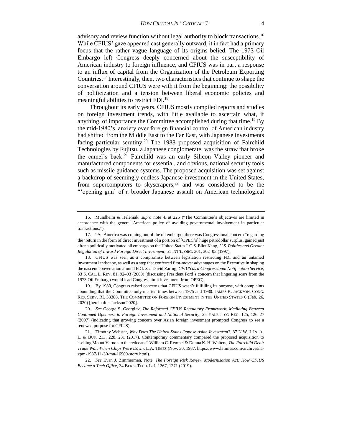advisory and review function without legal authority to block transactions.<sup>16</sup> While CFIUS' gaze appeared cast generally outward, it in fact had a primary focus that the rather vague language of its origins belied. The 1973 Oil Embargo left Congress deeply concerned about the susceptibility of American industry to foreign influence, and CFIUS was in part a response to an influx of capital from the Organization of the Petroleum Exporting Countries.<sup>17</sup> Interestingly, then, two characteristics that continue to shape the conversation around CFIUS were with it from the beginning: the possibility of politicization and a tension between liberal economic policies and meaningful abilities to restrict FDI.<sup>18</sup>

Throughout its early years, CFIUS mostly compiled reports and studies on foreign investment trends, with little available to ascertain what, if anything, of importance the Committee accomplished during that time.<sup>19</sup> By the mid-1980's, anxiety over foreign financial control of American industry had shifted from the Middle East to the Far East, with Japanese investments facing particular scrutiny.<sup>20</sup> The 1988 proposed acquisition of Fairchild Technologies by Fujitsu, a Japanese conglomerate, was the straw that broke the camel's back:<sup>21</sup> Fairchild was an early Silicon Valley pioneer and manufactured components for essential, and obvious, national security tools such as missile guidance systems. The proposed acquisition was set against a backdrop of seemingly endless Japanese investment in the United States, from supercomputers to skyscrapers, $22$  and was considered to be the "'opening gun' of a broader Japanese assault on American technological

19. By 1980, Congress raised concerns that CFIUS wasn't fulfilling its purpose, with complaints abounding that the Committee only met ten times between 1975 and 1980. JAMES K. JACKSON, CONG. RES. SERV. RL 33388, THE COMMITTEE ON FOREIGN INVESTMENT IN THE UNITED STATES 6 (Feb. 26, 2020) [hereinafter Jackson 2020].

<sup>16.</sup> Mundheim & Heleniak, *supra* note 4, at 225 ("The Committee's objectives are limited in accordance with the general American policy of avoiding governmental involvement in particular transactions.").

<sup>17.</sup> "As America was coming out of the oil embargo, there was Congressional concern "regarding the 'return in the form of direct investment of a portion of [OPEC's] huge petrodollar surplus, gained just after a politically motivated oil embargo on the United States." C.S. Eliot Kang, *U.S. Politics and Greater Regulation of Inward Foreign Direct Investment*, 51 INT'L. ORG. 301, 302–03 (1997).

<sup>18.</sup> CFIUS was seen as a compromise between legislation restricting FDI and an untamed investment landscape, as well as a step that conferred first-mover advantages on the Executive in shaping the nascent conversation around FDI. *See* David Zaring, *CFIUS as a Congressional Notification Service*, 83 S. CAL. L. REV. 81, 92–93 (2009) (discussing President Ford's concern that lingering scars from the 1973 Oil Embargo would lead Congress limit investment from OPEC).

<sup>20.</sup> *See* George S. Georgiev, *The Reformed CFIUS Regulatory Framework: Mediating Between Continued Openness to Foreign Investment and National Security*, 25 YALE J. ON REG. 125, 126–27 (2007) (indicating that growing concern over Asian foreign investment prompted Congress to see a renewed purpose for CFIUS).

<sup>21.</sup> Timothy Webster, *Why Does The United States Oppose Asian Investment*?, 37 N.W. J. INT'L. L. & BUS. 213, 228, 231 (2017). Contemporary commentary compared the proposed acquisition to "selling Mount Vernon to the redcoats." William C. Rempel & Donna K. H. Walters, *The Fairchild Deal: Trade War: When Chips Were Down*, L.A. TIMES (Nov. 30, 1987, https://www.latimes.com/archives/laxpm-1987-11-30-mn-16900-story.html).

<sup>22.</sup> *See* Evan J. Zimmerman, Note, *The Foreign Risk Review Modernization Act: How CFIUS Became a Tech Office*, 34 BERK. TECH. L. J. 1267, 1271 (2019).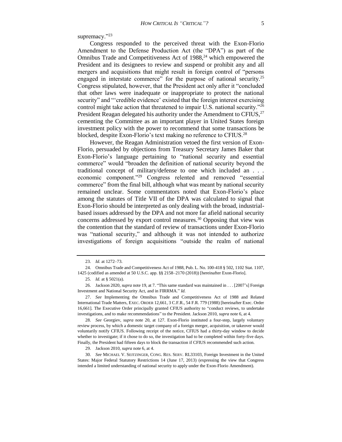supremacy."23

Congress responded to the perceived threat with the Exon-Florio Amendment to the Defense Production Act (the "DPA") as part of the Omnibus Trade and Competitiveness Act of  $1988<sup>24</sup>$  which empowered the President and its designees to review and suspend or prohibit any and all mergers and acquisitions that might result in foreign control of "persons engaged in interstate commerce" for the purpose of national security.<sup>25</sup> Congress stipulated, however, that the President act only after it "concluded that other laws were inadequate or inappropriate to protect the national security" and "'credible evidence' existed that the foreign interest exercising control might take action that threatened to impair U.S. national security."<sup>26</sup> President Reagan delegated his authority under the Amendment to CFIUS,  $27$ cementing the Committee as an important player in United States foreign investment policy with the power to recommend that some transactions be blocked, despite Exon-Florio's text making no reference to CFIUS.<sup>28</sup>

However, the Reagan Administration vetoed the first version of Exon-Florio, persuaded by objections from Treasury Secretary James Baker that Exon-Florio's language pertaining to "national security and essential commerce" would "broaden the definition of national security beyond the traditional concept of military/defense to one which included an . . . economic component."<sup>29</sup> Congress relented and removed "essential commerce" from the final bill, although what was meant by national security remained unclear. Some commentators noted that Exon-Florio's place among the statutes of Title VII of the DPA was calculated to signal that Exon-Florio should be interpreted as only dealing with the broad, industrialbased issues addressed by the DPA and not more far afield national security concerns addressed by export control measures.<sup>30</sup> Opposing that view was the contention that the standard of review of transactions under Exon-Florio was "national security," and although it was not intended to authorize investigations of foreign acquisitions "outside the realm of national

29. Jackson 2010, *supra* note 6, at 4.

30. *See* MICHAEL V. SEITZINGER, CONG. RES. SERV. RL33103, Foreign Investment in the United States: Major Federal Statutory Restrictions 14 (June 17, 2013) (expressing the view that Congress intended a limited understanding of national security to apply under the Exon-Florio Amendment).

<sup>23.</sup> *Id.* at 1272–73.

<sup>24.</sup> Omnibus Trade and Competitiveness Act of 1988, Pub. L. No. 100-418 § 502, 1102 Stat. 1107, 1425 (codified as amended at 50 U.S.C. app. §§ 2158–2170 (2018)) [hereinafter Exon-Florio].

<sup>25.</sup> *Id.* at § 5021(a).

<sup>26.</sup> Jackson 2020, *supra* note 19, at 7. "This same standard was maintained in . . . [2007's] Foreign Investment and National Security Act, and in FIRRMA." *Id.*

<sup>27.</sup> *See* Implementing the Omnibus Trade and Competitiveness Act of 1988 and Related International Trade Matters, EXEC. ORDER 12,661, 3 C.F.R., 54 F.R. 779 (1988) [hereinafter Exec. Order 16,661]. The Executive Order principally granted CFIUS authority to "conduct reviews, to undertake investigations, and to make recommendations" to the President. Jackson 2010, *supra* note 6, at 4.

<sup>28.</sup> *See* Georgiev, *supra* note 20, at 127. Exon-Florio instituted a four-step, largely voluntary review process, by which a domestic target company of a foreign merger, acquisition, or takeover would voluntarily notify CFIUS. Following receipt of the notice, CFIUS had a thirty-day window to decide whether to investigate; if it chose to do so, the investigation had to be completed within forty-five days. Finally, the President had fifteen days to block the transaction if CFIUS recommended such action.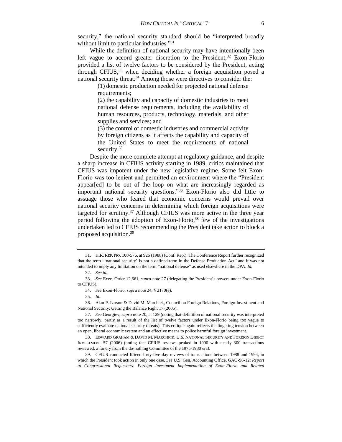security," the national security standard should be "interpreted broadly without limit to particular industries."<sup>31</sup>

While the definition of national security may have intentionally been left vague to accord greater discretion to the President,<sup>32</sup> Exon-Florio provided a list of twelve factors to be considered by the President, acting through CFIUS,  $33$  when deciding whether a foreign acquisition posed a national security threat.<sup>34</sup> Among those were directives to consider the:

(1) domestic production needed for projected national defense requirements;

(2) the capability and capacity of domestic industries to meet national defense requirements, including the availability of human resources, products, technology, materials, and other supplies and services; and

(3) the control of domestic industries and commercial activity by foreign citizens as it affects the capability and capacity of the United States to meet the requirements of national security.<sup>35</sup>

Despite the more complete attempt at regulatory guidance, and despite a sharp increase in CFIUS activity starting in 1989, critics maintained that CFIUS was impotent under the new legislative regime. Some felt Exon-Florio was too lenient and permitted an environment where the "President appear[ed] to be out of the loop on what are increasingly regarded as important national security questions."<sup>36</sup> Exon-Florio also did little to assuage those who feared that economic concerns would prevail over national security concerns in determining which foreign acquisitions were targeted for scrutiny.<sup>37</sup> Although CFIUS was more active in the three year period following the adoption of Exon-Florio, <sup>38</sup> few of the investigations undertaken led to CFIUS recommending the President take action to block a proposed acquisition.<sup>39</sup>

<sup>31.</sup> H.R. REP. NO. 100-576, at 926 (1988) (Conf. Rep.). The Conference Report further recognized that the term "'national security' is not a defined term in the Defense Production Act" and it was not intended to imply any limitation on the term "national defense" as used elsewhere in the DPA. *Id.*

<sup>32.</sup> *See id.*

<sup>33.</sup> *See* Exec. Order 12,661, *supra* note 27 (delegating the President's powers under Exon-Florio to CFIUS).

<sup>34.</sup> *See* Exon-Florio, *supra* note 24, § 2170(e).

<sup>35.</sup> *Id.*

<sup>36.</sup> Alan P. Larson & David M. Marchick, Council on Foreign Relations, Foreign Investment and National Security: Getting the Balance Right 17 (2006).

<sup>37.</sup> *See* Georgiev, *supra* note 20, at 129 (noting that definition of national security was interpreted too narrowly, partly as a result of the list of twelve factors under Exon-Florio being too vague to sufficiently evaluate national security threats). This critique again reflects the lingering tension between an open, liberal economic system and an effective means to police harmful foreign investment.

<sup>38.</sup> EDWARD GRAHAM & DAVID M. MARCHICK, U.S. NATIONAL SECURITY AND FOREIGN DIRECT INVESTMENT 57 (2006) (noting that CFIUS reviews peaked in 1990 with nearly 300 transactions reviewed, a far cry from the do-nothing Committee of the 1975-1980 era).

<sup>39.</sup> CFIUS conducted fifteen forty-five day reviews of transactions between 1988 and 1994, in which the President took action in only one case. *See* U.S. Gen. Accounting Office, GAO-96-12: *Report to Congressional Requesters: Foreign Investment Implementation of Exon-Florio and Related*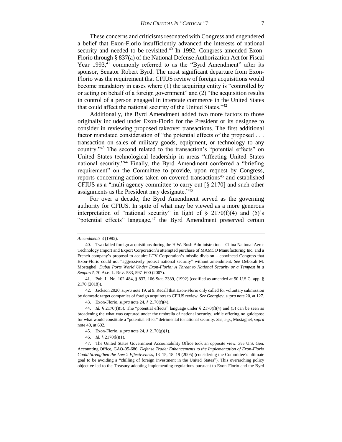These concerns and criticisms resonated with Congress and engendered a belief that Exon-Florio insufficiently advanced the interests of national security and needed to be revisited. $40$  In 1992, Congress amended Exon-Florio through § 837(a) of the National Defense Authorization Act for Fiscal Year 1993,<sup>41</sup> commonly referred to as the "Byrd Amendment" after its sponsor, Senator Robert Byrd. The most significant departure from Exon-Florio was the requirement that CFIUS review of foreign acquisitions would become mandatory in cases where (1) the acquiring entity is "controlled by or acting on behalf of a foreign government" and (2) "the acquisition results in control of a person engaged in interstate commerce in the United States that could affect the national security of the United States."<sup>42</sup>

Additionally, the Byrd Amendment added two more factors to those originally included under Exon-Florio for the President or its designee to consider in reviewing proposed takeover transactions. The first additional factor mandated consideration of "the potential effects of the proposed . . . transaction on sales of military goods, equipment, or technology to any country."<sup>43</sup> The second related to the transaction's "potential effects" on United States technological leadership in areas "affecting United States national security."<sup>44</sup> Finally, the Byrd Amendment conferred a "briefing requirement" on the Committee to provide, upon request by Congress, reports concerning actions taken on covered transactions<sup>45</sup> and established CFIUS as a "multi agency committee to carry out [§ 2170] and such other assignments as the President may designate."<sup>46</sup>

For over a decade, the Byrd Amendment served as the governing authority for CFIUS. In spite of what may be viewed as a more generous interpretation of "national security" in light of  $\S$  2170(f)(4) and (5)'s "potential effects" language, $47$  the Byrd Amendment preserved certain

42. Jackson 2020, *supra* note 19, at 9. Recall that Exon-Florio only called for voluntary submission by domestic target companies of foreign acquirers to CFIUS review. *See* Georgiev, *supra* note 20, at 127.

43. Exon-Florio, *supra* note 24, § 2170(f)(4).

*Amendments* 3 (1995).

<sup>40.</sup> Two failed foreign acquisitions during the H.W. Bush Administration – China National Aero-Technology Import and Export Corporation's attempted purchase of MAMCO Manufacturing Inc. and a French company's proposal to acquire LTV Corporation's missile division – convinced Congress that Exon-Florio could not "aggressively protect national security" without amendment. *See* Deborah M. Mostaghel*, Dubai Ports World Under Exon-Florio: A Threat to National Security or a Tempest in a Seaport?*, 70 ALB. L. REV. 583, 597–600 (2007).

<sup>41.</sup> Pub. L. No. 102-484, § 837, 106 Stat. 2339, (1992) (codified as amended at 50 U.S.C. app. § 2170 (2018)).

<sup>44.</sup> *Id.* § 2170(f)(5). The "potential effects" language under § 2170(f)(4) and (5) can be seen as broadening the what was captured under the umbrella of national security, while offering no guidepost for what would constitute a "potential effect" detrimental to national security. *See, e.g.,* Mostaghel*, supra*  note 40, at 602.

<sup>45.</sup> Exon-Florio, *supra* note 24, § 2170(g)(1).

<sup>46.</sup> *Id.* § 2170(k)(1).

<sup>47.</sup> The United States Government Accountability Office took an opposite view. *See* U.S. Gen. Accounting Office, GAO-05-686: *Defense Trade: Enhancements to the Implementation of Exon-Florio Could Strengthen the Law's Effectiveness*, 13–15, 18–19 (2005) (considering the Committee's ultimate goal to be avoiding a "chilling of foreign investment in the United States"). This overarching policy objective led to the Treasury adopting implementing regulations pursuant to Exon-Florio and the Byrd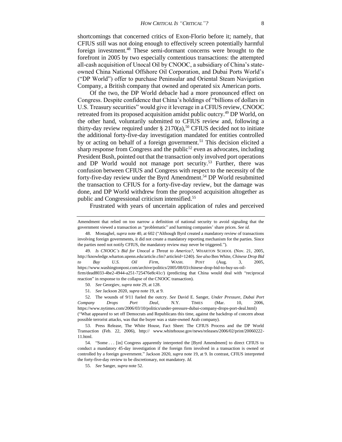shortcomings that concerned critics of Exon-Florio before it; namely, that CFIUS still was not doing enough to effectively screen potentially harmful foreign investment.<sup>48</sup> These semi-dormant concerns were brought to the forefront in 2005 by two especially contentious transactions: the attempted all-cash acquisition of Unocal Oil by CNOOC, a subsidiary of China's stateowned China National Offshore Oil Corporation, and Dubai Ports World's ("DP World") offer to purchase Peninsular and Oriental Steam Navigation Company, a British company that owned and operated six American ports.

Of the two, the DP World debacle had a more pronounced effect on Congress. Despite confidence that China's holdings of "billions of dollars in U.S. Treasury securities" would give it leverage in a CFIUS review, CNOOC retreated from its proposed acquisition amidst public outcry.<sup>49</sup> DP World, on the other hand, voluntarily submitted to CFIUS review and, following a thirty-day review required under  $\S 2170(a)$ ,<sup>50</sup> CFIUS decided not to initiate the additional forty-five-day investigation mandated for entities controlled by or acting on behalf of a foreign government.<sup>51</sup> This decision elicited a sharp response from Congress and the public<sup>52</sup> even as advocates, including President Bush, pointed out that the transaction only involved port operations and DP World would not manage port security.<sup>53</sup> Further, there was confusion between CFIUS and Congress with respect to the necessity of the forty-five-day review under the Byrd Amendment.<sup>54</sup> DP World resubmitted the transaction to CFIUS for a forty-five-day review, but the damage was done, and DP World withdrew from the proposed acquisition altogether as public and Congressional criticism intensified.<sup>55</sup>

Frustrated with years of uncertain application of rules and perceived

51. *See* Jackson 2020, *supra* note 19, at 9.

Amendment that relied on too narrow a definition of national security to avoid signaling that the government viewed a transaction as "problematic" and harming companies' share prices. *See id.*

<sup>48.</sup> Mostaghel*, supra* note 40, at 602 ("Although Byrd created a mandatory review of transactions involving foreign governments, it did not create a mandatory reporting mechanism for the parties. Since the parties need not notify CFIUS, the mandatory review may never be triggered.").

<sup>49.</sup> *Is CNOOC's Bid for Unocal a Threat to America?*, WHARTON SCHOOL (Nov. 21, 2005, http://knowledge.wharton.upenn.edu/article.cfm? articleid=1240). *See also* Ben White, *Chinese Drop Bid to Buy U.S. Oil Firm*, WASH. POST (Aug. 3, 2005, https://www.washingtonpost.com/archive/politics/2005/08/03/chinese-drop-bid-to-buy-us-oilfirm/dead8033-4be2-4944-a251-725476e8c41c/) (predicting that China would deal with "reciprocal reaction" in response to the collapse of the CNOOC transaction).

<sup>50.</sup> *See* Georgiev, *supra* note 29, at 128.

<sup>52.</sup> The wounds of 9/11 fueled the outcry. *See* David E. Sanger, *Under Pressure, Dubai Port Company Drops Port Deal*, N.Y. TIMES (Mar. 10, 2006, https://www.nytimes.com/2006/03/10/politics/under-pressure-dubai-company-drops-port-deal.html) ("What appeared to set off Democrats and Republicans this time, against the backdrop of concern about possible terrorist attacks, was that the buyer was a state-owned Arab company).

<sup>53.</sup> Press Release, The White House, Fact Sheet: The CFIUS Process and the DP World Transaction (Feb. 22, 2006), http:// www.whitehouse.gov/news/releases/2006/02/print/20060222- 11.html.

<sup>54. &</sup>quot;Some . . . [in] Congress apparently interpreted the [Byrd Amendment] to direct CFIUS to conduct a mandatory 45-day investigation if the foreign firm involved in a transaction is owned or controlled by a foreign government." Jackson 2020, *supra* note 19, at 9. In contrast, CFIUS interpreted the forty-five-day review to be discretionary, not mandatory. *Id.*

<sup>55.</sup> *See* Sanger, *supra* note 52.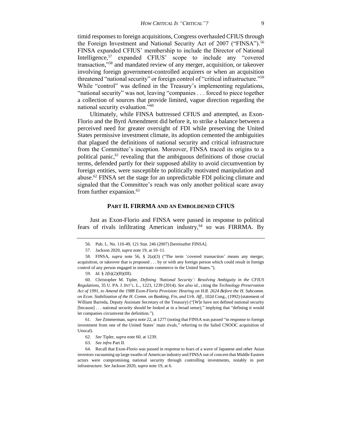timid responses to foreign acquisitions, Congress overhauled CFIUS through the Foreign Investment and National Security Act of 2007 ("FINSA").<sup>56</sup> FINSA expanded CFIUS' membership to include the Director of National Intelligence,<sup>57</sup> expanded CFIUS' scope to include any "covered transaction,"<sup>58</sup> and mandated review of any merger, acquisition, or takeover involving foreign government-controlled acquirers or when an acquisition threatened "national security" or foreign control of "critical infrastructure."<sup>59</sup> While "control" was defined in the Treasury's implementing regulations, "national security" was not, leaving "companies . . . forced to piece together a collection of sources that provide limited, vague direction regarding the national security evaluation."<sup>60</sup>

Ultimately, while FINSA buttressed CFIUS and attempted, as Exon-Florio and the Byrd Amendment did before it, to strike a balance between a perceived need for greater oversight of FDI while preserving the United States permissive investment climate, its adoption cemented the ambiguities that plagued the definitions of national security and critical infrastructure from the Committee's inception. Moreover, FINSA traced its origins to a political panic,<sup>61</sup> revealing that the ambiguous definitions of those crucial terms, defended partly for their supposed ability to avoid circumvention by foreign entities, were susceptible to politically motivated manipulation and abuse.<sup>62</sup> FINSA set the stage for an unpredictable FDI policing climate and signaled that the Committee's reach was only another political scare away from further expansion.<sup>63</sup>

#### **PART II. FIRRMA AND AN EMBOLDENED CFIUS**

Just as Exon-Florio and FINSA were passed in response to political fears of rivals infiltrating American industry, $64$  so was FIRRMA. By

<sup>56.</sup> Pub. L. No. 110-49, 121 Stat. 246 (2007) [hereinafter FINSA].

<sup>57.</sup> Jackson 2020, *supra* note 19, at 10–11.

<sup>58.</sup> FINSA, *supra* note 56, § 2(a)(3) ("The term 'covered transaction' means any merger, acquisition, or takeover that is proposed . . . by or with any foreign person which could result in foreign control of any person engaged in interstate commerce in the United States.").

<sup>59.</sup> *Id.* § 2(b)(2)(B)(III).

<sup>60.</sup> Christopher M. Tipler, *Defining 'National Security': Resolving Ambiguity in the CFIUS Regulations*, 35 U. PA. J. INT'L. L., 1223, 1239 (2014). *See also id.*, citing the *Technology Preservation Act of 1991, to Amend the 1988 Exon-Florio Provision*: *Hearing on H.R. 2624 Before the H. Subcomm. on Econ. Stabilization of the H. Comm. on Banking, Fin, and Urb. Aff.*, 102d Cong., (1992) (statement of William Barreda, Deputy Assistant Secretary of the Treasury) ("[W]e have not defined national security [because]... national security should be looked at in a broad sense)," implying that "defining it would let companies circumvent the definition.").

<sup>61.</sup> *See* Zimmerman, *supra* note 22, at 1277 (noting that FINSA was passed "in response to foreign investment from one of the United States' main rivals," referring to the failed CNOOC acquisition of Unocal).

<sup>62.</sup> *See* Tipler, *supra* note 60, at 1239.

<sup>63.</sup> *See infra* Part II.

<sup>64.</sup> Recall that Exon-Florio was passed in response to fears of a wave of Japanese and other Asian investors vacuuming up large swaths of American industry and FINSA out of concern that Middle Eastern actors were compromising national security through controlling investments, notably in port infrastructure. *See* Jackson 2020, *supra* note 19, at 6.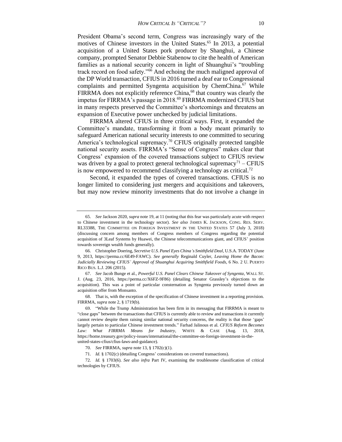President Obama's second term, Congress was increasingly wary of the motives of Chinese investors in the United States.<sup>65</sup> In 2013, a potential acquisition of a United States pork producer by Shanghui, a Chinese company, prompted Senator Debbie Stabenow to cite the health of American families as a national security concern in light of Shuanghui's "troubling track record on food safety."<sup>66</sup> And echoing the much maligned approval of the DP World transaction, CFIUS in 2016 turned a deaf ear to Congressional complaints and permitted Syngenta acquisition by ChemChina.<sup>67</sup> While FIRRMA does not explicitly reference China,<sup>68</sup> that country was clearly the impetus for FIRRMA's passage in 2018.<sup>69</sup> FIRRMA modernized CFIUS but in many respects preserved the Committee's shortcomings and threatens an expansion of Executive power unchecked by judicial limitations.

FIRRMA altered CFIUS in three critical ways. First, it expanded the Committee's mandate, transforming it from a body meant primarily to safeguard American national security interests to one committed to securing America's technological supremacy.<sup>70</sup> CFIUS originally protected tangible national security assets. FIRRMA's "Sense of Congress" makes clear that Congress' expansion of the covered transactions subject to CFIUS review was driven by a goal to protect general technological supremacy<sup>71</sup> – CFIUS is now empowered to recommend classifying a technology as critical.<sup>72</sup>

Second, it expanded the types of covered transactions. CFIUS is no longer limited to considering just mergers and acquisitions and takeovers, but may now review minority investments that do not involve a change in

<sup>65.</sup> *See* Jackson 2020, *supra* note 19, at 11 (noting that this fear was particularly acute with respect to Chinese investment in the technology sector). *See also* JAMES K. JACKSON, CONG. RES. SERV. RL33388, THE COMMITTEE ON FOREIGN INVESTMENT IN THE UNITED STATES 57 (July 3, 2018) (discussing concern among members of Congress members of Congress regarding the potential acquisition of 3Leaf Systems by Huawei, the Chinese telecommunications giant, and CFIUS' position towards sovereign wealth funds generally).

<sup>66.</sup> Christopher Doering, *Secretive U.S. Panel Eyes China's Smithfield Deal*, U.S.A. TODAY (June 9, 2013, https://perma.cc/6E49-FAWC). *See generally* Reginald Cuyler, *Leaving Home the Bacon: Judicially Reviewing CFIUS' Approval of Shuanghui Acquiring Smithfield Foods*, 6 No. 2 U. PUERTO RICO BUS. L.J. 206 (2015).

<sup>67.</sup> *See* Jacob Bunge et al., *Powerful U.S. Panel Clears Chinese Takeover of Syngenta*, WALL ST. J. (Aug. 23, 2016, https://perma.cc/X6FZ-9F86) (detailing Senator Grassley's objections to the acquisition). This was a point of particular consternation as Syngenta previously turned down an acquisition offer from Monsanto.

<sup>68.</sup> That is, with the exception of the specification of Chinese investment in a reporting provision. FIRRMA, *supra* note 2, § 1719(b).

<sup>69.</sup> "While the Trump Administration has been firm in its messaging that FIRRMA is meant to "close gaps" between the transactions that CFIUS is currently able to review and transactions it currently cannot review despite them raising similar national security concerns, the reality is that those 'gaps' largely pertain to particular Chinese investment trends." Farhad Jalinous et al. *CFIUS Reform Becomes Law: What FIRRMA Means for Industry*, WHITE & CASE (Aug. 13, 2018, https://home.treasury.gov/policy-issues/international/the-committee-on-foreign-investment-in-theunited-states-cfius/cfius-laws-and-guidance).

<sup>70.</sup> *See* FIRRMA, *supra* note 13, § 1702(c)(1).

<sup>71.</sup> *Id.* § 1702(c) (detailing Congress' considerations on covered transactions).

<sup>72.</sup> *Id.* § 1703(6). *See also infra* Part IV, examining the troublesome classification of critical technologies by CFIUS.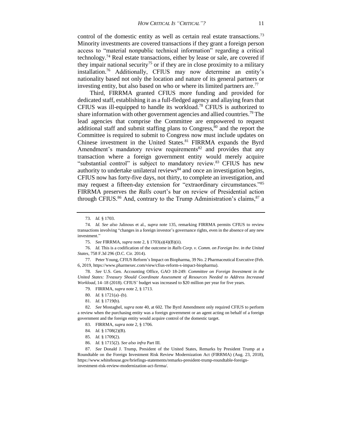control of the domestic entity as well as certain real estate transactions.<sup>73</sup> Minority investments are covered transactions if they grant a foreign person access to "material nonpublic technical information" regarding a critical technology.<sup>74</sup> Real estate transactions, either by lease or sale, are covered if they impair national security<sup>75</sup> or if they are in close proximity to a military installation.<sup>76</sup> Additionally, CFIUS may now determine an entity's nationality based not only the location and nature of its general partners or investing entity, but also based on who or where its limited partners are.<sup>77</sup>

Third, FIRRMA granted CFIUS more funding and provided for dedicated staff, establishing it as a full-fledged agency and allaying fears that CFIUS was ill-equipped to handle its workload.<sup>78</sup> CFIUS is authorized to share information with other government agencies and allied countries.<sup>79</sup> The lead agencies that comprise the Committee are empowered to request additional staff and submit staffing plans to Congress, $80$  and the report the Committee is required to submit to Congress now must include updates on Chinese investment in the United States.<sup>81</sup> FIRRMA expands the Byrd Amendment's mandatory review requirements<sup>82</sup> and provides that any transaction where a foreign government entity would merely acquire "substantial control" is subject to mandatory review.<sup>83</sup> CFIUS has new authority to undertake unilateral reviews $^{84}$  and once an investigation begins, CFIUS now has forty-five days, not thirty, to complete an investigation, and may request a fifteen-day extension for "extraordinary circumstances."<sup>85</sup> FIRRMA preserves the *Ralls* court's bar on review of Presidential action through CFIUS.<sup>86</sup> And, contrary to the Trump Administration's claims,  $87$  a

- 79. FIRRMA, *supra* note 2, § 1713.
- 80. *Id.* § 1721(a)–(b).
- 81. *Id.* § 1719(b).

- 83. FIRRMA, *supra* note 2, § 1706.
- 84. *Id.* § 1708(2)(B).
- 85. *Id.* § 1709(2).
- 86. *Id.* § 1715(2). *See also infra* Part III.

87. *See* Donald J. Trump, President of the United States, Remarks by President Trump at a Roundtable on the Foreign Investment Risk Review Modernization Act (FIRRMA) (Aug. 23, 2018), https://www.whitehouse.gov/briefings-statements/remarks-president-trump-roundtable-foreigninvestment-risk-review-modernization-act-firrma/.

<sup>73.</sup> *Id.* § 1703.

<sup>74.</sup> *Id. See also* Jalinous et al., *supra* note 135, remarking FIRRMA permits CFIUS to review transactions involving "changes in a foreign investor's governance rights, even in the absence of any new investment."

<sup>75.</sup> *See* FIRRMA, *supra* note 2, § 1703(a)(4)(B)(ii).

<sup>76.</sup> *Id.* This is a codification of the outcome in *Ralls Corp. v. Comm. on Foreign Inv. in the United States*, 758 F.3d 296 (D.C. Cir. 2014).

<sup>77.</sup> Peter Young, CFIUS Reform's Impact on Biopharma, 39 No. 2 Pharmaceutical Executive (Feb. 6, 2019, https://www.pharmexec.com/view/cfius-reform-s-impact-biopharma).

<sup>78.</sup> *See* U.S. Gen. Accounting Office, GAO 18-249: *Committee on Foreign Investment in the United States: Treasury Should Coordinate Assessment of Resources Needed to Address Increased Workload*, 14–18 (2018). CFIUS' budget was increased to \$20 million per year for five years.

<sup>82.</sup> *See* Mostaghel, *supra* note 40, at 602. The Byrd Amendment only required CFIUS to perform a review when the purchasing entity was a foreign government or an agent acting on behalf of a foreign government and the foreign entity would acquire control of the domestic target.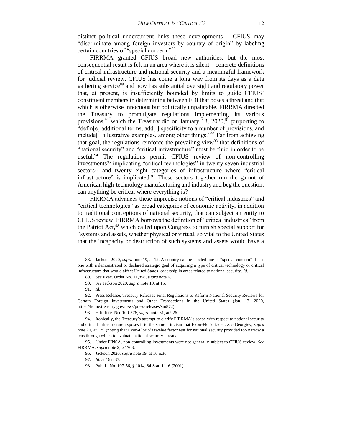distinct political undercurrent links these developments – CFIUS may "discriminate among foreign investors by country of origin" by labeling certain countries of "special concern."<sup>88</sup>

FIRRMA granted CFIUS broad new authorities, but the most consequential result is felt in an area where it is silent – concrete definitions of critical infrastructure and national security and a meaningful framework for judicial review. CFIUS has come a long way from its days as a data gathering service<sup>89</sup> and now has substantial oversight and regulatory power that, at present, is insufficiently bounded by limits to guide CFIUS' constituent members in determining between FDI that poses a threat and that which is otherwise innocuous but politically unpalatable. FIRRMA directed the Treasury to promulgate regulations implementing its various provisions,<sup>90</sup> which the Treasury did on January 13, 2020,<sup>91</sup> purporting to "defin[e] additional terms, add[ ] specificity to a number of provisions, and include[ ] illustrative examples, among other things."<sup>92</sup> Far from achieving that goal, the regulations reinforce the prevailing view<sup>93</sup> that definitions of "national security" and "critical infrastructure" must be fluid in order to be useful.<sup>94</sup> The regulations permit CFIUS review of non-controlling investments<sup>95</sup> implicating "critical technologies" in twenty seven industrial sectors<sup>96</sup> and twenty eight categories of infrastructure where "critical infrastructure" is implicated. $97$  These sectors together run the gamut of American high-technology manufacturing and industry and beg the question: can anything be critical where everything is?

FIRRMA advances these imprecise notions of "critical industries" and "critical technologies" as broad categories of economic activity, in addition to traditional conceptions of national security, that can subject an entity to CFIUS review. FIRRMA borrows the definition of "critical industries" from the Patriot Act,<sup>98</sup> which called upon Congress to furnish special support for "systems and assets, whether physical or virtual, so vital to the United States that the incapacity or destruction of such systems and assets would have a

95. Under FINSA, non-controlling investments were not generally subject to CFIUS review. *See*  FIRRMA, *supra* note 2, § 1703.

<sup>88.</sup> Jackson 2020, *supra* note 19, at 12. A country can be labeled one of "special concern" if it is one with a demonstrated or declared strategic goal of acquiring a type of critical technology or critical infrastructure that would affect United States leadership in areas related to national security. *Id.*

<sup>89.</sup> *See* Exec. Order No. 11,858, *supra* note 6.

<sup>90.</sup> *See* Jackson 2020, *supra* note 19, at 15.

<sup>91.</sup> *Id.*

<sup>92.</sup> Press Release, Treasury Releases Final Regulations to Reform National Security Reviews for Certain Foreign Investments and Other Transactions in the United States (Jan. 13, 2020, https://home.treasury.gov/news/press-releases/sm872).

<sup>93.</sup> H.R. REP. NO. 100-576, *supra* note 31, at 926.

<sup>94.</sup> Ironically, the Treasury's attempt to clarify FIRRMA's scope with respect to national security and critical infrastructure exposes it to the same criticism that Exon-Florio faced. *See* Georgiev, *supra*  note 20, at 129 (noting that Exon-Florio's twelve factor test for national security provided too narrow a lens through which to evaluate national security threats).

<sup>96.</sup> Jackson 2020, *supra* note 19, at 16 n.36.

<sup>97.</sup> *Id.* at 16 n.37.

<sup>98.</sup> Pub. L. No. 107-56, § 1014, 84 Stat. 1116 (2001).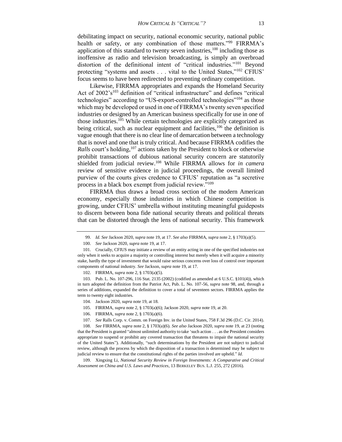debilitating impact on security, national economic security, national public health or safety, or any combination of those matters."<sup>99</sup> FIRRMA's application of this standard to twenty seven industries,  $100$  including those as inoffensive as radio and television broadcasting, is simply an overbroad distortion of the definitional intent of "critical industries."<sup>101</sup> Beyond protecting "systems and assets . . . vital to the United States,"<sup>102</sup> CFIUS' focus seems to have been redirected to preventing ordinary competition.

Likewise, FIRRMA appropriates and expands the Homeland Security Act of  $2002 \text{'s}^{103}$  definition of "critical infrastructure" and defines "critical technologies" according to "US-export-controlled technologies"<sup>104</sup> as those which may be developed or used in one of FIRRMA's twenty seven specified industries or designed by an American business specifically for use in one of those industries.<sup>105</sup> While certain technologies are explicitly categorized as being critical, such as nuclear equipment and facilities, $106$  the definition is vague enough that there is no clear line of demarcation between a technology that is novel and one that is truly critical. And because FIRRMA codifies the *Ralls* court's holding,<sup>107</sup> actions taken by the President to block or otherwise prohibit transactions of dubious national security concern are statutorily shielded from judicial review.<sup>108</sup> While FIRRMA allows for *in camera* review of sensitive evidence in judicial proceedings, the overall limited purview of the courts gives credence to CFIUS' reputation as "a secretive process in a black box exempt from judicial review."<sup>109</sup>

FIRRMA thus draws a broad cross section of the modern American economy, especially those industries in which Chinese competition is growing, under CFIUS' umbrella without instituting meaningful guideposts to discern between bona fide national security threats and political threats that can be distorted through the lens of national security. This framework

109. Xingxing Li, *National Security Review in Foreign Investments: A Comparative and Critical Assessment on China and U.S. Laws and Practices*, 13 BERKELEY BUS. L.J. 255, 272 (2016).

<sup>99.</sup> *Id. See* Jackson 2020, *supra* note 19, at 17. *See also* FIRRMA, *supra* note 2, § 1703(a)(5).

<sup>100.</sup> *See* Jackson 2020, *supra* note 19, at 17.

<sup>101.</sup> Crucially, CFIUS may initiate a review of an entity acting in one of the specified industries not only when it seeks to acquire a majority or controlling interest but merely when it will acquire a minority stake, hardly the type of investment that would raise serious concerns over loss of control over important components of national industry. *See* Jackson, *supra* note 19, at 17.

<sup>102.</sup> FIRRMA, *supra* note 2, § 1703(a)(5).

<sup>103.</sup> Pub. L. No. 107-296, 116 Stat. 2135 (2002) (codified as amended at 6 U.S.C. §101(4)), which in turn adopted the definition from the Patriot Act, Pub. L. No. 107-56, *supra* note 98, and, through a series of additions, expanded the definition to cover a total of seventeen sectors. FIRRMA applies the term to twenty eight industries.

<sup>104.</sup> Jackson 2020, *supra* note 19, at 18.

<sup>105.</sup> FIRRMA, *supra* note 2, § 1703(a)(6); Jackson 2020, *supra* note 19, at 20.

<sup>106.</sup> FIRRMA, *supra* note 2, § 1703(a)(6).

<sup>107.</sup> *See* Ralls Corp. v. Comm. on Foreign Inv. in the United States, 758 F.3d 296 (D.C. Cir. 2014).

<sup>108.</sup> *See* FIRRMA, *supra* note 2, § 1703(a)(6). *See also* Jackson 2020, *supra* note 19, at 23 (noting that the President is granted "almost unlimited authority to take 'such action . . . as the President considers appropriate to suspend or prohibit any covered transaction that threatens to impair the national security of the United States"). Additionally, "such determinations by the President are not subject to judicial review, although the process by which the disposition of a transaction is determined may be subject to judicial review to ensure that the constitutional rights of the parties involved are upheld." *Id.*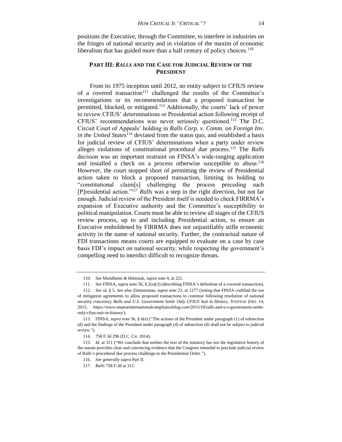positions the Executive, through the Committee, to interfere in industries on the fringes of national security and in violation of the maxim of economic liberalism that has guided more than a half century of policy choices.<sup>110</sup>

## **PART III:** *RALLS* **AND THE CASE FOR JUDICIAL REVIEW OF THE PRESIDENT**

From its 1975 inception until 2012, no entity subject to CFIUS review of a covered transaction $111$  challenged the results of the Committee's investigations or its recommendations that a proposed transaction be permitted, blocked, or mitigated.<sup>112</sup> Additionally, the courts' lack of power to review CFIUS' determinations or Presidential action following receipt of CFIUS' recommendations was never seriously questioned.<sup>113</sup> The D.C. Circuit Court of Appeals' holding in *Ralls Corp. v. Comm. on Foreign Inv. in the United States*<sup>114</sup> deviated from the status quo, and established a basis for judicial review of CFIUS' determinations when a party under review alleges violations of constitutional procedural due process.<sup>115</sup> The *Ralls* decision was an important restraint on FINSA's wide-ranging application and installed a check on a process otherwise susceptible to abuse.<sup>116</sup> However, the court stopped short of permitting the review of Presidential action taken to block a proposed transaction, limiting its holding to "constitutional claim[s] challenging the process preceding such [P]residential action."<sup>117</sup> *Ralls* was a step in the right direction, but not far enough. Judicial review of the President itself is needed to check FIRRMA's expansion of Executive authority and the Committee's susceptibility to political manipulation. Courts must be able to review all stages of the CFIUS review process, up to and including Presidential action, to ensure an Executive emboldened by FIRRMA does not unjustifiably stifle economic activity in the name of national security. Further, the contractual nature of FDI transactions means courts are equipped to evaluate on a case by case basis FDI's impact on national security, while respecting the government's compelling need to interdict difficult to recognize threats.

<sup>110.</sup> *See* Mundheim & Heleniak, *supra* note 4, at 221.

<sup>111.</sup> *See* FINSA, *supra* note 56, § 2(a)(3) (describing FINSA's definition of a covered transaction).

<sup>112.</sup> *See id.* § 5. *See also* Zimmerman, *supra* note 22, at 1277 (noting that FINSA codified the use of mitigation agreements to allow proposed transactions to continue following resolution of national security concerns); *Ralls and U.S. Government Settle Only CFIUS Suit in History*, STEPTOE (Oct. 14, 2015, https://www.steptoeinternationalcomplianceblog.com/2015/10/ralls-and-u-s-government-settleonly-cfius-suit-in-history/).

<sup>113.</sup> FINSA, *supra* note 56, § 6(e) ("The actions of the President under paragraph (1) of subsection (d) and the findings of the President under paragraph (4) of subsection (d) shall not be subject to judicial review.").

<sup>114.</sup> 758 F.3d 296 (D.C. Cir. 2014).

<sup>115.</sup> *Id.* at 311 ("We conclude that neither the text of the statutory bar nor the legislative history of the statute provides clear and convincing evidence that the Congress intended to preclude judicial review of Ralls's procedural due process challenge to the Presidential Order.").

<sup>116.</sup> *See generally supra* Part II.

<sup>117.</sup> *Ralls* 758 F.3d at 311.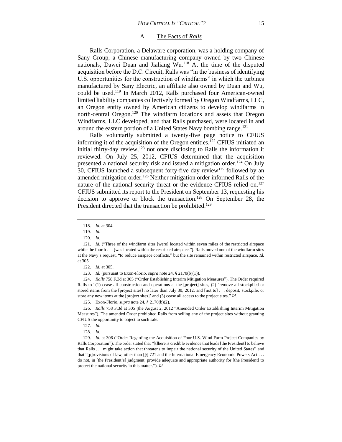#### A. The Facts of *Ralls*

Ralls Corporation, a Delaware corporation, was a holding company of Sany Group, a Chinese manufacturing company owned by two Chinese nationals, Dawei Duan and Jialiang  $Wu$ .<sup>118</sup> At the time of the disputed acquisition before the D.C. Circuit, Ralls was "in the business of identifying U.S. opportunities for the construction of windfarms" in which the turbines manufactured by Sany Electric, an affiliate also owned by Duan and Wu, could be used.<sup>119</sup> In March 2012, Ralls purchased four American-owned limited liability companies collectively formed by Oregon Windfarms, LLC, an Oregon entity owned by American citizens to develop windfarms in north-central Oregon.<sup>120</sup> The windfarm locations and assets that Oregon Windfarms, LLC developed, and that Ralls purchased, were located in and around the eastern portion of a United States Navy bombing range.<sup>121</sup>

Ralls voluntarily submitted a twenty-five page notice to CFIUS informing it of the acquisition of the Oregon entities.<sup>122</sup> CFIUS initiated an initial thirty-day review, $123$  not once disclosing to Ralls the information it reviewed. On July 25, 2012, CFIUS determined that the acquisition presented a national security risk and issued a mitigation order.<sup>124</sup> On July 30, CFIUS launched a subsequent forty-five day review<sup>125</sup> followed by an amended mitigation order.<sup>126</sup> Neither mitigation order informed Ralls of the nature of the national security threat or the evidence CFIUS relied on.<sup>127</sup> CFIUS submitted its report to the President on September 13, requesting his decision to approve or block the transaction.<sup>128</sup> On September 28, the President directed that the transaction be prohibited.<sup>129</sup>

122. *Id.* at 305.

123. *Id.* (pursuant to Exon-Florio, *supra* note 24, § 2170(b)(1)).

124. *Ralls* 758 F.3d at 305 ("Order Establishing Interim Mitigation Measures"). The Order required Ralls to "(1) cease all construction and operations at the [project] sites, (2) 'remove all stockpiled or stored items from the [project sites] no later than July 30, 2012, and [not to] . . . deposit, stockpile, or store any new items at the [project sites]' and (3) cease all access to the project sites." *Id.*

125. Exon-Florio, *supra* note 24, § 2170(b)(2).

126. *Ralls* 758 F.3d at 305 (the August 2, 2012 "Amended Order Establishing Interim Mitigation Measures"). The amended Order prohibited Ralls from selling any of the project sites without granting CFIUS the opportunity to object to such sale.

129. *Id.* at 306 ("Order Regarding the Acquisition of Four U.S. Wind Farm Project Companies by Ralls Corporation"). The order stated that "[t]here is credible evidence that leads [the President] to believe that Ralls . . . might take action that threatens to impair the national security of the United States" and that "[p]rovisions of law, other than [§] 721 and the International Emergency Economic Powers Act . . . do not, in [the President's] judgment, provide adequate and appropriate authority for [the President] to protect the national security in this matter."). *Id.*

<sup>118.</sup> *Id.* at 304.

<sup>119.</sup> *Id.*

<sup>120.</sup> *Id.*

<sup>121.</sup> *Id.* ("Three of the windfarm sites [were] located within seven miles of the restricted airspace while the fourth . . . [was located within the restricted airspace."]. Ralls moved one of the windfarm sites at the Navy's request, "to reduce airspace conflicts," but the site remained within restricted airspace. *Id.* at 305.

<sup>127.</sup> *Id.*

<sup>128.</sup> *Id.*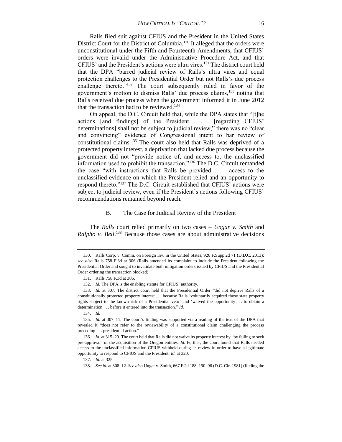Ralls filed suit against CFIUS and the President in the United States District Court for the District of Columbia.<sup>130</sup> It alleged that the orders were unconstitutional under the Fifth and Fourteenth Amendments, that CFIUS' orders were invalid under the Administrative Procedure Act, and that CFIUS' and the President's actions were ultra vires.<sup>131</sup> The district court held that the DPA "barred judicial review of Ralls's ultra vires and equal protection challenges to the Presidential Order but not Ralls's due process challenge thereto."<sup>132</sup> The court subsequently ruled in favor of the government's motion to dismiss Ralls' due process claims,<sup>133</sup> noting that Ralls received due process when the government informed it in June 2012 that the transaction had to be reviewed.<sup>134</sup>

On appeal, the D.C. Circuit held that, while the DPA states that "[t]he actions [and findings] of the President . . . [regarding CFIUS' determinations] shall not be subject to judicial review," there was no "clear and convincing" evidence of Congressional intent to bar review of constitutional claims.<sup>135</sup> The court also held that Ralls was deprived of a protected property interest, a deprivation that lacked due process because the government did not "provide notice of, and access to, the unclassified information used to prohibit the transaction."<sup>136</sup> The D.C. Circuit remanded the case "with instructions that Ralls be provided . . . access to the unclassified evidence on which the President relied and an opportunity to respond thereto."<sup>137</sup> The D.C. Circuit established that CFIUS' actions were subject to judicial review, even if the President's actions following CFIUS' recommendations remained beyond reach.

#### B. The Case for Judicial Review of the President

The *Ralls* court relied primarily on two cases – *Ungar v. Smith* and *Ralpho v. Bell*. <sup>138</sup> Because those cases are about administrative decisions

<sup>130.</sup> Ralls Corp. v. Comm. on Foreign Inv. in the United States, 926 F.Supp.2d 71 (D.D.C. 2013); *see also* Ralls 758 F.3d at 306 (Ralls amended its complaint to include the President following the Presidential Order and sought to invalidate both mitigation orders issued by CFIUS and the Presidential Order ordering the transaction blocked).

<sup>131.</sup> Ralls 758 F.3d at 306.

<sup>132.</sup> *Id.* The DPA is the enabling statute for CFIUS' authority.

<sup>133.</sup> *Id.* at 307. The district court held that the Presidential Order "did not deprive Ralls of a constitutionally protected property interest . . . because Ralls 'voluntarily acquired those state property rights subject to the known risk of a Presidential veto' and 'waived the opportunity . . . to obtain a determination . . . before it entered into the transaction." *Id.*

<sup>134.</sup> *Id.*

<sup>135.</sup> *Id.* at 307–11. The court's finding was supported via a reading of the text of the DPA that revealed it "does not refer to the reviewability of a constitutional claim challenging the process preceding . . . presidential action."

<sup>136.</sup> *Id.* at 315–20. The court held that Ralls did not waive its property interest by "by failing to seek pre-approval" of the acquisition of the Oregon entities. *Id.* Further, the court found that Ralls needed access to the unclassified information CFIUS withheld during its review in order to have a legitimate opportunity to respond to CFIUS and the President. *Id.* at 320.

<sup>137.</sup> *Id.* at 325.

<sup>138.</sup> *See id.* at 308–12. *See also* Ungar v. Smith, 667 F.2d 188, 190–96 (D.C. Cir. 1981) (finding the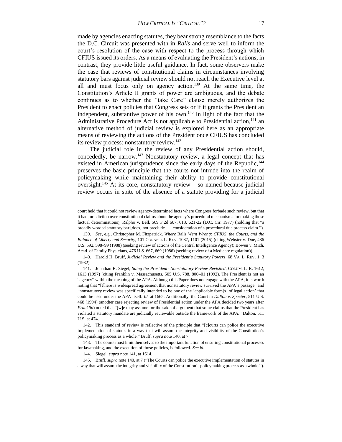made by agencies enacting statutes, they bear strong resemblance to the facts the D.C. Circuit was presented with in *Ralls* and serve well to inform the court's resolution of the case with respect to the process through which CFIUS issued its orders. As a means of evaluating the President's actions, in contrast, they provide little useful guidance. In fact, some observers make the case that reviews of constitutional claims in circumstances involving statutory bars against judicial review should not reach the Executive level at all and must focus only on agency action.<sup>139</sup> At the same time, the Constitution's Article II grants of power are ambiguous, and the debate continues as to whether the "take Care" clause merely authorizes the President to enact policies that Congress sets or if it grants the President an independent, substantive power of his own.<sup>140</sup> In light of the fact that the Administrative Procedure Act is not applicable to Presidential action,<sup>141</sup> an alternative method of judicial review is explored here as an appropriate means of reviewing the actions of the President once CFIUS has concluded its review process: nonstatutory review.<sup>142</sup>

The judicial role in the review of any Presidential action should, concededly, be narrow.<sup>143</sup> Nonstatutory review, a legal concept that has existed in American jurisprudence since the early days of the Republic,<sup>144</sup> preserves the basic principle that the courts not intrude into the realm of policymaking while maintaining their ability to provide constitutional oversight.<sup>145</sup> At its core, nonstatutory review – so named because judicial review occurs in spite of the absence of a statute providing for a judicial

court held that it could not review agency-determined facts where Congress forbade such review, but that it had jurisdiction over constitutional claims about the agency's procedural mechanisms for making those factual determinations); Ralpho v. Bell, 569 F.2d 607, 613, 621-22 (D.C. Cir. 1977) (holding that "a broadly worded statutory bar [does] not preclude . . . consideration of a procedural due process claim.").

<sup>139.</sup> *See*, e.g., Christopher M. Fitzpatrick, *Where* Ralls *Went Wrong: CFIUS, the Courts, and the Balance of Liberty and Security*, 101 CORNELL L. REV. 1087, 1101 (2015) (citing Webster v. Doe, 486 U.S. 592, 598–99 (1988) (seeking review of actions of the Central Intelligence Agency); Bowen v. Mich. Acad. of Family Physicians, 476 U.S. 667, 669 (1986) (seeking review of a Medicare regulation)).

<sup>140.</sup> Harold H. Bruff, *Judicial Review and the President's Statutory Powers*, 68 VA. L. REV. 1, 3 (1982).

<sup>141.</sup> Jonathan R. Siegel, *Suing the President: Nonstatutory Review Revisited*, COLUM. L. R. 1612, 1613 (1997) (citing Franklin v. Massachusetts, 505 U.S. 788, 800–01 (1992). The President is not an "agency" within the meaning of the APA. Although this Paper does not engage with the APA, it is worth noting that "[t]here is widespread agreement that nonstatutory review survived the APA's passage" and "nonstatutory review was specifically intended to be one of the 'applicable form[s] of legal action' that could be used under the APA itself. *Id.* at 1665. Additionally, the Court in *Dalton v. Specter*, 511 U.S. 468 (1994) (another case rejecting review of Presidential action under the APA decided two years after *Franklin*) noted that "[w]e may assume for the sake of argument that some claims that the President has violated a statutory mandate are judicially reviewable outside the framework of the APA." Dalton, 511 U.S. at 474.

<sup>142.</sup> This standard of review is reflective of the principle that "[c]ourts can police the executive implementation of statutes in a way that will assure the integrity and visibility of the Constitution's policymaking process as a whole." Bruff, *supra* note 140, at 7.

<sup>143.</sup> The courts must limit themselves to the important function of ensuring constitutional processes for lawmaking, and the execution of those policies, is followed. *See id.*

<sup>144.</sup> Siegel, *supra* note 141, at 1614.

<sup>145.</sup> Bruff, *supra* note 140, at 7 ("The Courts can police the executive implementation of statutes in a way that will assure the integrity and visibility of the Constitution's policymaking process as a whole.").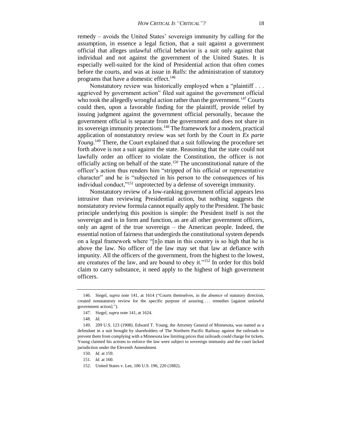remedy – avoids the United States' sovereign immunity by calling for the assumption, in essence a legal fiction, that a suit against a government official that alleges unlawful official behavior is a suit only against that individual and not against the government of the United States. It is especially well-suited for the kind of Presidential action that often comes before the courts, and was at issue in *Ralls*: the administration of statutory programs that have a domestic effect.<sup>146</sup>

Nonstatutory review was historically employed when a "plaintiff . . . aggrieved by government action" filed suit against the government official who took the allegedly wrongful action rather than the government.<sup>147</sup> Courts could then, upon a favorable finding for the plaintiff, provide relief by issuing judgment against the government official personally, because the government official is separate from the government and does not share in its sovereign immunity protections.<sup>148</sup> The framework for a modern, practical application of nonstatutory review was set forth by the Court in *Ex parte Young*.<sup>149</sup> There, the Court explained that a suit following the procedure set forth above is not a suit against the state. Reasoning that the state could not lawfully order an officer to violate the Constitution, the officer is not officially acting on behalf of the state.<sup>150</sup> The unconstitutional nature of the officer's action thus renders him "stripped of his official or representative character" and he is "subjected in his person to the consequences of his individual conduct,"<sup>151</sup> unprotected by a defense of sovereign immunity.

Nonstatutory review of a low-ranking government official appears less intrusive than reviewing Presidential action, but nothing suggests the nonstatutory review formula cannot equally apply to the President. The basic principle underlying this position is simple: the President itself is not the sovereign and is in form and function, as are all other government officers, only an agent of the true sovereign – the American people. Indeed, the essential notion of fairness that undergirds the constitutional system depends on a legal framework where "[n]o man in this country is so high that he is above the law. No officer of the law may set that law at defiance with impunity. All the officers of the government, from the highest to the lowest, are creatures of the law, and are bound to obey it."<sup>152</sup> In order for this bold claim to carry substance, it need apply to the highest of high government officers.

<sup>146.</sup> Siegel, *supra* note 141, at 1614 ("Courts themselves, in the absence of statutory direction, created nonstatutory review for the specific purpose of assuring . . . remedies [against unlawful government action].").

<sup>147.</sup> Siegel, *supra* note 141, at 1624.

<sup>148.</sup> *Id.*

<sup>149.</sup> 209 U.S. 123 (1908). Edward T. Young, the Attorney General of Minnesota, was named as a defendant in a suit brought by shareholders of The Northern Pacific Railway against the railroads to prevent them from complying with a Minnesota law limiting prices that railroads could charge for tickets. Young claimed his actions to enforce the law were subject to sovereign immunity and the court lacked jurisdiction under the Eleventh Amendment.

<sup>150.</sup> *Id.* at 159.

<sup>151.</sup> *Id.* at 160.

<sup>152.</sup> United States v. Lee, 106 U.S. 196, 220 (1882).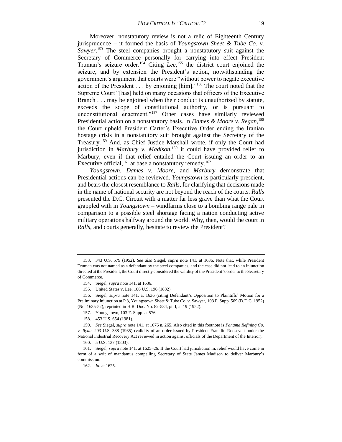Moreover, nonstatutory review is not a relic of Eighteenth Century jurisprudence – it formed the basis of *Youngstown Sheet & Tube Co. v. Sawyer*. <sup>153</sup> The steel companies brought a nonstatutory suit against the Secretary of Commerce personally for carrying into effect President Truman's seizure order.<sup>154</sup> Citing *Lee*,<sup>155</sup> the district court enjoined the seizure, and by extension the President's action, notwithstanding the government's argument that courts were "without power to negate executive action of the President . . . by enjoining [him]."<sup>156</sup> The court noted that the Supreme Court "[has] held on many occasions that officers of the Executive Branch . . . may be enjoined when their conduct is unauthorized by statute, exceeds the scope of constitutional authority, or is pursuant to unconstitutional enactment."<sup>157</sup> Other cases have similarly reviewed Presidential action on a nonstatutory basis. In *Dames & Moore v. Regan*, 158 the Court upheld President Carter's Executive Order ending the Iranian hostage crisis in a nonstatutory suit brought against the Secretary of the Treasury.<sup>159</sup> And, as Chief Justice Marshall wrote, if only the Court had jurisdiction in *Marbury v. Madison*, <sup>160</sup> it could have provided relief to Marbury, even if that relief entailed the Court issuing an order to an Executive official,  $^{161}$  at base a nonstatutory remedy.  $^{162}$ 

*Youngstown*, *Dames v. Moore*, and *Marbury* demonstrate that Presidential actions can be reviewed. *Youngstown* is particularly prescient, and bears the closest resemblance to *Ralls*, for clarifying that decisions made in the name of national security are not beyond the reach of the courts. *Ralls* presented the D.C. Circuit with a matter far less grave than what the Court grappled with in *Youngstown* – windfarms close to a bombing range pale in comparison to a possible steel shortage facing a nation conducting active military operations halfway around the world. Why, then, would the court in *Ralls*, and courts generally, hesitate to review the President?

<sup>153.</sup> 343 U.S. 579 (1952). *See also* Siegel, *supra* note 141, at 1636. Note that, while President Truman was not named as a defendant by the steel companies, and the case did not lead to an injunction directed at the President, the Court directly considered the validity of the President's order to the Secretary of Commerce.

<sup>154.</sup> Siegel, *supra* note 141, at 1636.

<sup>155.</sup> United States v. Lee, 106 U.S. 196 (1882).

<sup>156.</sup> Siegel, *supra* note 141, at 1636 (citing Defendant's Opposition to Plaintiffs' Motion for a Preliminary Injunction at P 3, Youngstown Sheet & Tube Co. v. Sawyer, 103 F. Supp. 569 (D.D.C. 1952) (No. 1635-52), reprinted in H.R. Doc. No. 82-534, pt. I, at 19 (1952).

<sup>157.</sup> Youngstown, 103 F. Supp. at 576.

<sup>158.</sup> 453 U.S. 654 (1981).

<sup>159.</sup> *See* Siegel, *supra* note 141, at 1676 n. 265. Also cited in this footnote is *Panama Refining Co. v. Ryan*, 293 U.S. 388 (1935) (validity of an order issued by President Franklin Roosevelt under the National Industrial Recovery Act reviewed in action against officials of the Department of the Interior).

<sup>160.</sup> 5 U.S. 137 (1803).

<sup>161.</sup> Siegel, *supra* note 141, at 1625–26. If the Court had jurisdiction in, relief would have come in form of a writ of mandamus compelling Secretary of State James Madison to deliver Marbury's commission.

<sup>162.</sup> *Id.* at 1625.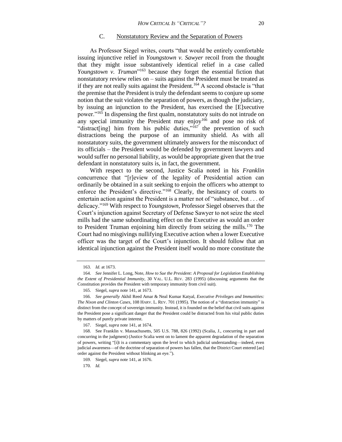#### C. Nonstatutory Review and the Separation of Powers

As Professor Siegel writes, courts "that would be entirely comfortable issuing injunctive relief in *Youngstown v. Sawyer* recoil from the thought that they might issue substantively identical relief in a case called Youngstown v. Truman<sup>"163</sup> because they forget the essential fiction that nonstatutory review relies on – suits against the President must be treated as if they are not really suits against the President.<sup>164</sup> A second obstacle is "that the premise that the President is truly the defendant seems to conjure up some notion that the suit violates the separation of powers, as though the judiciary, by issuing an injunction to the President, has exercised the [E]xecutive power."<sup>165</sup> In dispensing the first qualm, nonstatutory suits do not intrude on any special immunity the President may enjoy<sup>166</sup> and pose no risk of "distract[ing] him from his public duties,"<sup>167</sup> the prevention of such distractions being the purpose of an immunity shield. As with all nonstatutory suits, the government ultimately answers for the misconduct of its officials – the President would be defended by government lawyers and would suffer no personal liability, as would be appropriate given that the true defendant in nonstatutory suits is, in fact, the government.

With respect to the second, Justice Scalia noted in his *Franklin*  concurrence that "[r]eview of the legality of Presidential action can ordinarily be obtained in a suit seeking to enjoin the officers who attempt to enforce the President's directive."<sup>168</sup> Clearly, the hesitancy of courts to entertain action against the President is a matter not of "substance, but . . . of delicacy."<sup>169</sup> With respect to *Youngstown*, Professor Siegel observes that the Court's injunction against Secretary of Defense Sawyer to not seize the steel mills had the same subordinating effect on the Executive as would an order to President Truman enjoining him directly from seizing the mills.<sup>170</sup> The Court had no misgivings nullifying Executive action when a lower Executive officer was the target of the Court's injunction. It should follow that an identical injunction against the President itself would no more constitute the

<sup>163.</sup> *Id.* at 1673.

<sup>164.</sup> *See* Jennifer L. Long, Note, *How to Sue the President: A Proposal for Legislation Establishing the Extent of Presidential Immunity*, 30 VAL. U.L. REV. 283 (1995) (discussing arguments that the Constitution provides the President with temporary immunity from civil suit).

<sup>165.</sup> Siegel, *supra* note 141, at 1673.

<sup>166.</sup> *See generally* Akhil Reed Amar & Neal Kumar Katyal, *Executive Privileges and Immunities: The Nixon and Clinton Cases*, 108 HARV. L. REV. 701 (1995). The notion of a "distraction immunity" is distinct from the concept of sovereign immunity. Instead, it is founded on the belief that civil suits against the President pose a significant danger that the President could be distracted from his vital public duties by matters of purely private interest.

<sup>167.</sup> Siegel, *supra* note 141, at 1674.

<sup>168.</sup> See Franklin v. Massachusetts, 505 U.S. 788, 826 (1992) (Scalia, J., concurring in part and concurring in the judgment) (Justice Scalia went on to lament the apparent degradation of the separation of powers, writing "[i]t is a commentary upon the level to which judicial understanding—indeed, even judicial awareness—of the doctrine of separation of powers has fallen, that the District Court entered [an] order against the President without blinking an eye.").

<sup>169.</sup> Siegel, *supra* note 141, at 1676.

<sup>170.</sup> *Id.*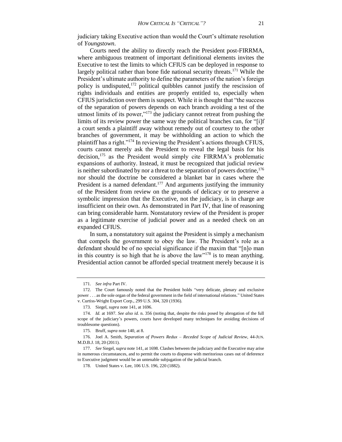judiciary taking Executive action than would the Court's ultimate resolution of *Youngstown*.

Courts need the ability to directly reach the President post-FIRRMA, where ambiguous treatment of important definitional elements invites the Executive to test the limits to which CFIUS can be deployed in response to largely political rather than bone fide national security threats.<sup>171</sup> While the President's ultimate authority to define the parameters of the nation's foreign policy is undisputed, $172$  political quibbles cannot justify the rescission of rights individuals and entities are properly entitled to, especially when CFIUS jurisdiction over them is suspect. While it is thought that "the success of the separation of powers depends on each branch avoiding a test of the utmost limits of its power, $\frac{173}{3}$  the judiciary cannot retreat from pushing the limits of its review power the same way the political branches can, for "[i]f a court sends a plaintiff away without remedy out of courtesy to the other branches of government, it may be withholding an action to which the plaintiff has a right."<sup>174</sup> In reviewing the President's actions through CFIUS, courts cannot merely ask the President to reveal the legal basis for his decision,<sup>175</sup> as the President would simply cite FIRRMA's problematic expansions of authority. Instead, it must be recognized that judicial review is neither subordinated by nor a threat to the separation of powers doctrine,  $176$ nor should the doctrine be considered a blanket bar in cases where the President is a named defendant.<sup>177</sup> And arguments justifying the immunity of the President from review on the grounds of delicacy or to preserve a symbolic impression that the Executive, not the judiciary, is in charge are insufficient on their own. As demonstrated in Part IV, that line of reasoning can bring considerable harm. Nonstatutory review of the President is proper as a legitimate exercise of judicial power and as a needed check on an expanded CFIUS.

In sum, a nonstatutory suit against the President is simply a mechanism that compels the government to obey the law. The President's role as a defendant should be of no special significance if the maxim that "[n]o man in this country is so high that he is above the  $law''^{178}$  is to mean anything. Presidential action cannot be afforded special treatment merely because it is

<sup>171.</sup> *See infra* Part IV.

<sup>172.</sup> The Court famously noted that the President holds "very delicate, plenary and exclusive power . . . as the sole organ of the federal government in the field of international relations." United States v. Curtiss-Wright Export Corp., 299 U.S. 304, 320 (1936).

<sup>173.</sup> Siegel, *supra* note 141, at 1696.

<sup>174.</sup> *Id.* at 1697. *See also id.* n. 356 (noting that, despite the risks posed by abrogation of the full scope of the judiciary's powers, courts have developed many techniques for avoiding decisions of troublesome questions).

<sup>175.</sup> Bruff, *supra* note 140, at 8.

<sup>176.</sup> Joel A. Smith, *Separation of Powers Redux – Receded Scope of Judicial Review*, 44-JUN. M.D.B.J. 18, 20 (2011).

<sup>177.</sup> *See* Siegel, *supra* note 141, at 1698. Clashes between the judiciary and the Executive may arise in numerous circumstances, and to permit the courts to dispense with meritorious cases out of deference to Executive judgment would be an untenable subjugation of the judicial branch.

<sup>178.</sup> United States v. Lee, 106 U.S. 196, 220 (1882).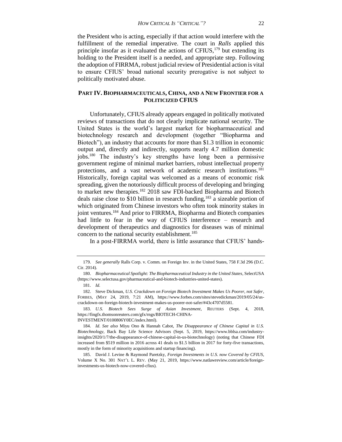the President who is acting, especially if that action would interfere with the fulfillment of the remedial imperative. The court in *Ralls* applied this principle insofar as it evaluated the actions of CFIUS, $179$  but extending its holding to the President itself is a needed, and appropriate step. Following the adoption of FIRRMA, robust judicial review of Presidential action is vital to ensure CFIUS' broad national security prerogative is not subject to politically motivated abuse.

## **PART IV. BIOPHARMACEUTICALS, CHINA, AND A NEW FRONTIER FOR A POLITICIZED CFIUS**

Unfortunately, CFIUS already appears engaged in politically motivated reviews of transactions that do not clearly implicate national security. The United States is the world's largest market for biopharmaceutical and biotechnology research and development (together "Biopharma and Biotech"), an industry that accounts for more than \$1.3 trillion in economic output and, directly and indirectly, supports nearly 4.7 million domestic jobs.<sup>180</sup> The industry's key strengths have long been a permissive government regime of minimal market barriers, robust intellectual property protections, and a vast network of academic research institutions.<sup>181</sup> Historically, foreign capital was welcomed as a means of economic risk spreading, given the notoriously difficult process of developing and bringing to market new therapies.<sup>182</sup> 2018 saw FDI-backed Biopharma and Biotech deals raise close to \$10 billion in research funding,<sup>183</sup> a sizeable portion of which originated from Chinese investors who often took minority stakes in joint ventures.<sup>184</sup> And prior to FIRRMA, Biopharma and Biotech companies had little to fear in the way of CFIUS interference – research and development of therapeutics and diagnostics for diseases was of minimal concern to the national security establishment.<sup>185</sup>

In a post-FIRRMA world, there is little assurance that CFIUS' hands-

<sup>179.</sup> *See generally* Ralls Corp. v. Comm. on Foreign Inv. in the United States, 758 F.3d 296 (D.C. Cir. 2014).

<sup>180.</sup> *Biopharmaceutical Spotlight: The Biopharmaceutical Industry in the United States*, SelectUSA (https://www.selectusa.gov/pharmaceutical-and-biotech-industries-united-states).

<sup>181.</sup> *Id.*

<sup>182.</sup> Steve Dickman, *U.S. Crackdown on Foreign Biotech Investment Makes Us Poorer, not Safer*, FORBES, (MAY 24, 2019, 7:21 AM), https://www.forbes.com/sites/stevedickman/2019/05/24/uscrackdown-on-foreign-biotech-investment-makes-us-poorer-not-safer/#43c4707d5581.

<sup>183.</sup> *U.S. Biotech Sees Surge of Asian Investment*, REUTERS (Sept. 4, 2018, https://fingfx.thomsonreuters.com/gfx/rngs/BIOTECH-CHINA-INVESTMENT/0100806Y0EC/index.html).

<sup>184.</sup> *Id*. *See also* Miyu Ono & Hannah Cabot, *The Disappearance of Chinese Capital in U.S. Biotechnology*, Back Bay Life Science Advisors (Sept. 5, 2019, https://www.bblsa.com/industryinsights/2020/1/7/the-disappearance-of-chinese-capital-in-us-biotechnology) (noting that Chinese FDI increased from \$519 million in 2016 across 41 deals to \$1.5 billion in 2017 for forty-five transactions, mostly in the form of minority acquisitions and startup financing).

<sup>185.</sup> David J. Levine & Raymond Paretzky, *Foreign Investments in U.S. now Covered by CFIUS*, Volume X No. 301 NAT'L L. REV. (May 21, 2019, https://www.natlawreview.com/article/foreigninvestments-us-biotech-now-covered-cfius).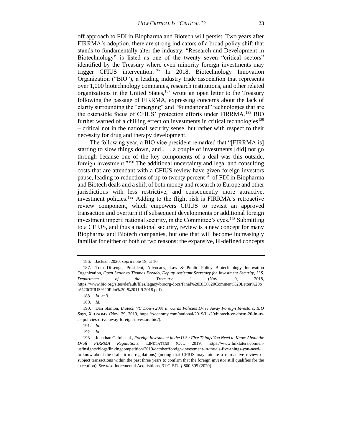off approach to FDI in Biopharma and Biotech will persist. Two years after FIRRMA's adoption, there are strong indicators of a broad policy shift that stands to fundamentally alter the industry. "Research and Development in Biotechnology" is listed as one of the twenty seven "critical sectors" identified by the Treasury where even minority foreign investments may trigger CFIUS intervention.<sup>186</sup> In 2018, Biotechnology Innovation Organization ("BIO"), a leading industry trade association that represents over 1,000 biotechnology companies, research institutions, and other related organizations in the United States,  $187$  wrote an open letter to the Treasury following the passage of FIRRMA, expressing concerns about the lack of clarity surrounding the "emerging" and "foundational" technologies that are the ostensible focus of CFIUS' protection efforts under FIRRMA.<sup>188</sup> BIO further warned of a chilling effect on investments in critical technologies<sup>189</sup> – critical not in the national security sense, but rather with respect to their necessity for drug and therapy development.

The following year, a BIO vice president remarked that "[FIRRMA is] starting to slow things down, and . . . a couple of investments [did] not go through because one of the key components of a deal was this outside, foreign investment."<sup>190</sup> The additional uncertainty and legal and consulting costs that are attendant with a CFIUS review have given foreign investors pause, leading to reductions of up to twenty percent<sup>191</sup> of FDI in Biopharma and Biotech deals and a shift of both money and research to Europe and other jurisdictions with less restrictive, and consequently more attractive, investment policies.<sup>192</sup> Adding to the flight risk is FIRRMA's retroactive review component, which empowers CFIUS to revisit an approved transaction and overturn it if subsequent developments or additional foreign investment imperil national security, in the Committee's eyes.<sup>193</sup> Submitting to a CFIUS, and thus a national security, review is a new concept for many Biopharma and Biotech companies, but one that will become increasingly familiar for either or both of two reasons: the expansive, ill-defined concepts

<sup>186.</sup> Jackson 2020, *supra* note 19, at 16.

<sup>187.</sup> Tom DiLenge, President, Advocacy, Law & Public Policy Biotechnology Innovation Organization, *Open Letter to Thomas Freddo, Deputy Assistant Secretary for Investment Security, U.S. Department of the Treasury*, 1 (Nov. 9, 2018, https://www.bio.org/sites/default/files/legacy/bioorg/docs/Final%20BIO%20Comment%20Letter%20o n%20CFIUS%20Pilot%20-%2011.9.2018.pdf).

<sup>188.</sup> *Id.* at 3.

<sup>189.</sup> *Id.*

<sup>190.</sup> Dan Stanton, *Biotech VC Down 20% in US as Policies Drive Away Foreign Investors, BIO Says*, XCONOMY (Nov. 29, 2019, https://xconomy.com/national/2019/11/29/biotech-vc-down-20-in-usas-policies-drive-away-foreign-investors-bio/).

<sup>191.</sup> *Id.*

<sup>192.</sup> *Id.*

<sup>193.</sup> Jonathan Gafni et al., *Foreign Investment in the U.S.: Five Things You Need to Know About the Draft FIRRMA Regulations*, LINKLATERS (Oct. 2019, https://www.linklaters.com/enus/insights/blogs/linkingcompetition/2019/october/foreign-investment-in-the-us-five-things-you-needto-know-about-the-draft-firrma-regulations) (noting that CFIUS may initiate a retroactive review of subject transactions within the past three years to confirm that the foreign investor still qualifies for the exception). *See also* Incremental Acquisitions, 31 C.F.R. § 800.305 (2020).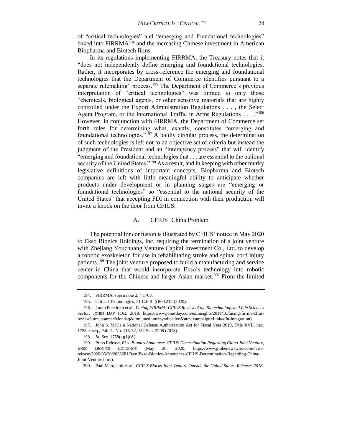of "critical technologies" and "emerging and foundational technologies" baked into FIRRMA<sup>194</sup> and the increasing Chinese investment in American Biopharma and Biotech firms.

In its regulations implementing FIRRMA, the Treasury notes that it "does not independently define emerging and foundational technologies. Rather, it incorporates by cross-reference the emerging and foundational technologies that the Department of Commerce identifies pursuant to a separate rulemaking" process.<sup>195</sup> The Department of Commerce's previous interpretation of "critical technologies" was limited to only those "chemicals, biological agents, or other sensitive materials that are highly controlled under the Export Administration Regulations . . . , the Select Agent Program, or the International Traffic in Arms Regulations . . . . .<sup>196</sup> However, in conjunction with FIRRMA, the Department of Commerce set forth rules for determining what, exactly, constitutes "emerging and foundational technologies."<sup>197</sup> A baldly circular process, the determination of such technologies is left not to an objective set of criteria but instead the judgment of the President and an "interagency process" that will identify "emerging and foundational technologies that . . . are essential to the national security of the United States."<sup>198</sup> As a result, and in keeping with other murky legislative definitions of important concepts, Biopharma and Biotech companies are left with little meaningful ability to anticipate whether products under development or in planning stages are "emerging or foundational technologies" so "essential to the national security of the United States" that accepting FDI in connection with their production will invite a knock on the door from CFIUS.

#### A. CFIUS' China Problem

The potential for confusion is illustrated by CFIUS' notice in May 2020 to Ekso Bionics Holdings, Inc. requiring the termination of a joint venture with Zhejiang Youchuang Venture Capital Investment Co., Ltd. to develop a robotic exoskeleton for use in rehabilitating stroke and spinal cord injury patients.<sup>199</sup> The joint venture proposed to build a manufacturing and service center in China that would incorporate Ekso's technology into robotic components for the Chinese and larger Asian market.<sup>200</sup> From the limited

<sup>194.</sup> FIRRMA, *supra* note 2, § 1703.

<sup>195.</sup> Critical Technologies, 31 C.F.R. § 800.215 (2020).

<sup>196.</sup> Laura Fraedrich et al., *Facing FIRRMA: CFIUS Review of the Biotechnology and Life Sciences Sector*, JONES DAY (Oct. 2019, https://www.jonesday.com/en/insights/2019/10/facing-firrma-cfiusreview?utm\_source=Mondaq&utm\_medium=syndication&utm\_campaign=LinkedIn-integration).

<sup>197.</sup> John S. McCain National Defense Authorization Act for Fiscal Year 2019, Title XVII, Sec. 1758 et seq., Pub. L. No. 115-32, 132 Stat. 2208 (2018).

<sup>198.</sup> *Id.* Sec. 1758(a)(1)(A).

<sup>199.</sup> Press Release, *Ekso Bionics Announces CFIUS Determination Regarding China Joint Venture*, EKSO BIONICS HOLDINGS (May 20, 2020, https://www.globenewswire.com/newsrelease/2020/05/20/2036681/0/en/Ekso-Bionics-Announces-CFIUS-Determination-Regarding-China-Joint-Venture.html).

<sup>200.</sup> Paul Marquardt et al., *CFIUS Blocks Joint Venture Outside the United States, Releases 2018-*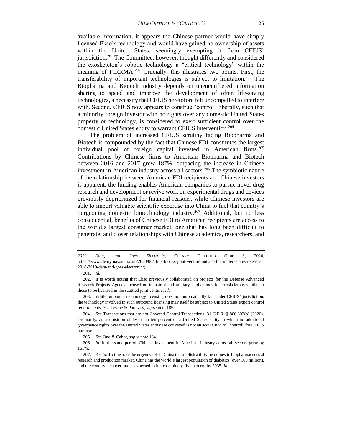available information, it appears the Chinese partner would have simply licensed Ekso's technology and would have gained no ownership of assets within the United States, seemingly exempting it from CFIUS' jurisdiction.<sup>201</sup> The Committee, however, thought differently and considered the exoskeleton's robotic technology a "critical technology" within the meaning of FIRRMA.<sup>202</sup> Crucially, this illustrates two points. First, the transferability of important technologies is subject to limitation.<sup>203</sup> The Biopharma and Biotech industry depends on unencumbered information sharing to speed and improve the development of often life-saving technologies, a necessity that CFIUS heretofore felt uncompelled to interfere with. Second, CFIUS now appears to construe "control" liberally, such that a minority foreign investor with no rights over any domestic United States property or technology, is considered to exert sufficient control over the domestic United States entity to warrant CFIUS intervention.<sup>204</sup>

The problem of increased CFIUS scrutiny facing Biopharma and Biotech is compounded by the fact that Chinese FDI constitutes the largest individual pool of foreign capital invested in American firms.<sup>205</sup> Contributions by Chinese firms to American Biopharma and Biotech between 2016 and 2017 grew 187%, outpacing the increase in Chinese investment in American industry across all sectors.<sup>206</sup> The symbiotic nature of the relationship between American FDI recipients and Chinese investors is apparent: the funding enables American companies to pursue novel drug research and development or revive work on experimental drugs and devices previously deprioritized for financial reasons, while Chinese investors are able to import valuable scientific expertise into China to fuel that country's burgeoning domestic biotechnology industry.<sup>207</sup> Additional, but no less consequential, benefits of Chinese FDI to American recipients are access to the world's largest consumer market, one that has long been difficult to penetrate, and closer relationships with Chinese academics, researchers, and

*<sup>2019</sup> Data, and Goes Electronic*, CLEARY GOTTLIEB (June 3, 2020, https://www.clearymawatch.com/2020/06/cfius-blocks-joint-venture-outside-the-united-states-releases-2018-2019-data-and-goes-electronic/).

<sup>201.</sup> *Id.*

<sup>202.</sup> It is worth noting that Ekso previously collaborated on projects for the Defense Advanced Research Projects Agency focused on industrial and military applications for exoskeletons similar to those to be licensed in the scuttled joint venture. *Id.*

<sup>203.</sup> While outbound technology licensing does not automatically fall under CFIUS' jurisdiction, the technology involved in such outbound licensing may itself be subject to United States export control requirements. *See* Levine & Paretzky, *supra* note 185.

<sup>204.</sup> *See* Transactions that are not Covered Control Transactions, 31 C.F.R. § 800.302(b) (2020). Ordinarily, an acquisition of less than ten percent of a United States entity in which no additional governance rights over the United States entity are conveyed is not an acquisition of "control" for CFIUS purposes.

<sup>205.</sup> *See* Ono & Cabot, *supra* note 184.

<sup>206.</sup> *Id.* In the same period, Chinese investment in American industry across all sectors grew by 161%.

<sup>207.</sup> *See id.* To illustrate the urgency felt in China to establish a thriving domestic biopharmaceutical research and production market, China has the world's largest population of diabetics (over 100 million), and the country's cancer rate is expected to increase ninety-five percent by 2035. *Id.*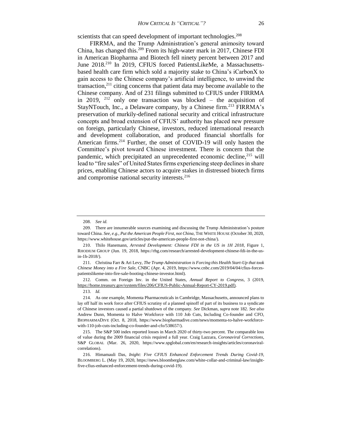scientists that can speed development of important technologies.<sup>208</sup>

FIRRMA, and the Trump Administration's general animosity toward China, has changed this.<sup>209</sup> From its high-water mark in 2017, Chinese FDI in American Biopharma and Biotech fell ninety percent between 2017 and June 2018.<sup>210</sup> In 2019, CFIUS forced PatientsLikeMe, a Massachusettsbased health care firm which sold a majority stake to China's iCarbonX to gain access to the Chinese company's artificial intelligence, to unwind the transaction, $2^{11}$  citing concerns that patient data may become available to the Chinese company. And of 231 filings submitted to CFIUS under FIRRMA in 2019,  $212$  only one transaction was blocked – the acquisition of StayNTouch, Inc., a Delaware company, by a Chinese firm.<sup>213</sup> FIRRMA's preservation of murkily-defined national security and critical infrastructure concepts and broad extension of CFIUS' authority has placed new pressure on foreign, particularly Chinese, investors, reduced international research and development collaboration, and produced financial shortfalls for American firms.<sup>214</sup> Further, the onset of COVID-19 will only hasten the Committee's pivot toward Chinese investment. There is concern that the pandemic, which precipitated an unprecedented economic decline,<sup>215</sup> will lead to "fire sales" of United States firms experiencing steep declines in share prices, enabling Chinese actors to acquire stakes in distressed biotech firms and compromise national security interests.<sup>216</sup>

<sup>208.</sup> *See id.*

<sup>209.</sup> There are innumerable sources examining and discussing the Trump Administration's posture toward China. *See, e.g., Put the American People First, not China*, THE WHITE HOUSE (October 30, 2020, https://www.whitehouse.gov/articles/put-the-american-people-first-not-china/).

<sup>210.</sup> Thilo Hanemann, *Arrested Development: Chinese FDI in the US in 1H 2018*, Figure 1, RHODIUM GROUP (Jun. 19, 2018, https://rhg.com/research/arrested-development-chinese-fdi-in-the-usin-1h-2018/).

<sup>211.</sup> Christina Farr & Ari Levy, *The Trump Administration is Forcing this Health Start-Up that took Chinese Money into a Fire Sale*, CNBC (Apr. 4, 2019, https://www.cnbc.com/2019/04/04/cfius-forcespatientslikeme-into-fire-sale-booting-chinese-investor.html).

<sup>212.</sup> Comm. on Foreign Inv. in the United States, *Annual Report to Congress*, 3 (2019, https://home.treasury.gov/system/files/206/CFIUS-Public-Annual-Report-CY-2019.pdf).

<sup>213.</sup> *Id.*

<sup>214.</sup> As one example, Momenta Pharmaceuticals in Cambridge, Massachusetts, announced plans to lay off half its work force after CFIUS scrutiny of a planned spinoff of part of its business to a syndicate of Chinese investors caused a partial shutdown of the company. *See* Dickman, *supra* note 182. *See also* Andrew Dunn, Momenta to Halve Workforce with 110 Job Cuts, Including Co-founder and CFO, BIOPHARMADIVE (Oct. 8, 2018, https://www.biopharmadive.com/news/momenta-to-halve-workforcewith-110-job-cuts-including-co-founder-and-cfo/538657/).

<sup>215.</sup> The S&P 500 index reported losses in March 2020 of thirty-two percent. The comparable loss of value during the 2009 financial crisis required a full year. Craig Lazzara, *Coronaviral Corrections*, S&P GLOBAL (Mar. 26, 2020, https://www.spglobal.com/en/research-insights/articles/coronaviralcorrelations).

<sup>216.</sup> Himamauli Das, *Inight: Five CFIUS Enhanced Enforcement Trends During Covid-19*, BLOOMBERG L. (May 19, 2020, https://news.bloomberglaw.com/white-collar-and-criminal-law/insightfive-cfius-enhanced-enforcement-trends-during-covid-19).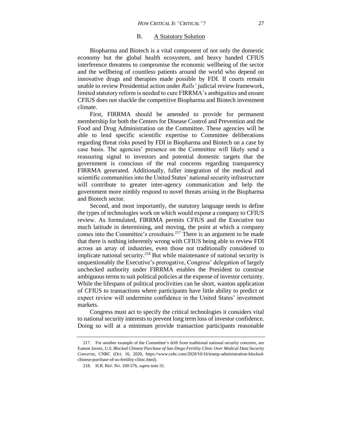#### B. A Statutory Solution

Biopharma and Biotech is a vital component of not only the domestic economy but the global health ecosystem, and heavy handed CFIUS interference threatens to compromise the economic wellbeing of the sector and the wellbeing of countless patients around the world who depend on innovative drugs and therapies made possible by FDI. If courts remain unable to review Presidential action under *Ralls'* judicial review framework, limited statutory reform is needed to cure FIRRMA's ambiguities and ensure CFIUS does not shackle the competitive Biopharma and Biotech investment climate.

First, FIRRMA should be amended to provide for permanent membership for both the Centers for Disease Control and Prevention and the Food and Drug Administration on the Committee. These agencies will be able to lend specific scientific expertise to Committee deliberations regarding threat risks posed by FDI in Biopharma and Biotech on a case by case basis. The agencies' presence on the Committee will likely send a reassuring signal to investors and potential domestic targets that the government is conscious of the real concerns regarding transparency FIRRMA generated. Additionally, fuller integration of the medical and scientific communities into the United States' national security infrastructure will contribute to greater inter-agency communication and help the government more nimbly respond to novel threats arising in the Biopharma and Biotech sector.

Second, and most importantly, the statutory language needs to define the types of technologies work on which would expose a company to CFIUS review. As formulated, FIRRMA permits CFIUS and the Executive too much latitude in determining, and moving, the point at which a company comes into the Committee's crosshairs.<sup>217</sup> There is an argument to be made that there is nothing inherently wrong with CFIUS being able to review FDI across an array of industries, even those not traditionally considered to implicate national security.<sup>218</sup> But while maintenance of national security is unquestionably the Executive's prerogative, Congress' delegation of largely unchecked authority under FIRRMA enables the President to construe ambiguous terms to suit political policies at the expense of investor certainty. While the lifespans of political proclivities can be short, wanton application of CFIUS to transactions where participants have little ability to predict or expect review will undermine confidence in the United States' investment markets.

Congress must act to specify the critical technologies it considers vital to national security interests to prevent long term loss of investor confidence. Doing so will at a minimum provide transaction participants reasonable

<sup>217.</sup> For another example of the Committee's drift from traditional national security concerns, *see* Eamon Javers, *U.S. Blocked Chinese Purchase of San Diego Fertility Clinic Over Medical Data Security Concerns*, CNBC (Oct. 16, 2020, https://www.cnbc.com/2020/10/16/trump-administration-blockedchinese-purchase-of-us-fertility-clinic.html).

<sup>218.</sup> H.R. REP. NO. 100-576, *supra* note 31.